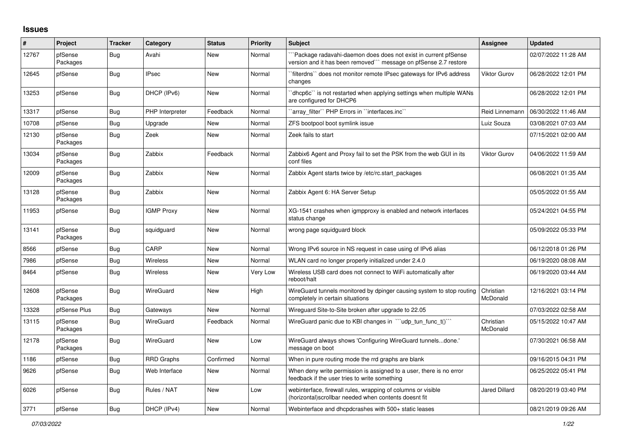## **Issues**

| #     | Project             | <b>Tracker</b> | Category          | <b>Status</b> | <b>Priority</b> | <b>Subject</b>                                                                                                                      | Assignee              | <b>Updated</b>      |
|-------|---------------------|----------------|-------------------|---------------|-----------------|-------------------------------------------------------------------------------------------------------------------------------------|-----------------------|---------------------|
| 12767 | pfSense<br>Packages | <b>Bug</b>     | Avahi             | <b>New</b>    | Normal          | "Package radavahi-daemon does does not exist in current pfSense<br>version and it has been removed"" message on pfSense 2.7 restore |                       | 02/07/2022 11:28 AM |
| 12645 | pfSense             | Bug            | <b>IPsec</b>      | <b>New</b>    | Normal          | `filterdns`` does not monitor remote IPsec gateways for IPv6 address<br>changes                                                     | <b>Viktor Gurov</b>   | 06/28/2022 12:01 PM |
| 13253 | pfSense             | <b>Bug</b>     | DHCP (IPv6)       | <b>New</b>    | Normal          | 'dhcp6c' is not restarted when applying settings when multiple WANs<br>are configured for DHCP6                                     |                       | 06/28/2022 12:01 PM |
| 13317 | pfSense             | Bug            | PHP Interpreter   | Feedback      | Normal          | 'array_filter'' PHP Errors in ''interfaces.inc''                                                                                    | Reid Linnemann        | 06/30/2022 11:46 AM |
| 10708 | pfSense             | Bug            | Upgrade           | <b>New</b>    | Normal          | ZFS bootpool boot symlink issue                                                                                                     | Luiz Souza            | 03/08/2021 07:03 AM |
| 12130 | pfSense<br>Packages | Bug            | Zeek              | <b>New</b>    | Normal          | Zeek fails to start                                                                                                                 |                       | 07/15/2021 02:00 AM |
| 13034 | pfSense<br>Packages | Bug            | Zabbix            | Feedback      | Normal          | Zabbix6 Agent and Proxy fail to set the PSK from the web GUI in its<br>conf files                                                   | <b>Viktor Gurov</b>   | 04/06/2022 11:59 AM |
| 12009 | pfSense<br>Packages | Bug            | Zabbix            | <b>New</b>    | Normal          | Zabbix Agent starts twice by /etc/rc.start packages                                                                                 |                       | 06/08/2021 01:35 AM |
| 13128 | pfSense<br>Packages | <b>Bug</b>     | Zabbix            | <b>New</b>    | Normal          | Zabbix Agent 6: HA Server Setup                                                                                                     |                       | 05/05/2022 01:55 AM |
| 11953 | pfSense             | <b>Bug</b>     | <b>IGMP Proxy</b> | <b>New</b>    | Normal          | XG-1541 crashes when igmpproxy is enabled and network interfaces<br>status change                                                   |                       | 05/24/2021 04:55 PM |
| 13141 | pfSense<br>Packages | <b>Bug</b>     | squidguard        | <b>New</b>    | Normal          | wrong page squidguard block                                                                                                         |                       | 05/09/2022 05:33 PM |
| 8566  | pfSense             | Bug            | CARP              | <b>New</b>    | Normal          | Wrong IPv6 source in NS request in case using of IPv6 alias                                                                         |                       | 06/12/2018 01:26 PM |
| 7986  | pfSense             | Bug            | Wireless          | <b>New</b>    | Normal          | WLAN card no longer properly initialized under 2.4.0                                                                                |                       | 06/19/2020 08:08 AM |
| 8464  | pfSense             | <b>Bug</b>     | Wireless          | New           | Very Low        | Wireless USB card does not connect to WiFi automatically after<br>reboot/halt                                                       |                       | 06/19/2020 03:44 AM |
| 12608 | pfSense<br>Packages | <b>Bug</b>     | <b>WireGuard</b>  | <b>New</b>    | High            | WireGuard tunnels monitored by dpinger causing system to stop routing<br>completely in certain situations                           | Christian<br>McDonald | 12/16/2021 03:14 PM |
| 13328 | pfSense Plus        | <b>Bug</b>     | Gateways          | <b>New</b>    | Normal          | Wireguard Site-to-Site broken after upgrade to 22.05                                                                                |                       | 07/03/2022 02:58 AM |
| 13115 | pfSense<br>Packages | Bug            | WireGuard         | Feedback      | Normal          | WireGuard panic due to KBI changes in ""udp_tun_func_t()""                                                                          | Christian<br>McDonald | 05/15/2022 10:47 AM |
| 12178 | pfSense<br>Packages | Bug            | <b>WireGuard</b>  | <b>New</b>    | Low             | WireGuard always shows 'Configuring WireGuard tunnelsdone.'<br>message on boot                                                      |                       | 07/30/2021 06:58 AM |
| 1186  | pfSense             | <b>Bug</b>     | <b>RRD Graphs</b> | Confirmed     | Normal          | When in pure routing mode the rrd graphs are blank                                                                                  |                       | 09/16/2015 04:31 PM |
| 9626  | pfSense             | <b>Bug</b>     | Web Interface     | <b>New</b>    | Normal          | When deny write permission is assigned to a user, there is no error<br>feedback if the user tries to write something                |                       | 06/25/2022 05:41 PM |
| 6026  | pfSense             | Bug            | Rules / NAT       | <b>New</b>    | Low             | webinterface, firewall rules, wrapping of columns or visible<br>(horizontal)scrollbar needed when contents doesnt fit               | <b>Jared Dillard</b>  | 08/20/2019 03:40 PM |
| 3771  | pfSense             | <b>Bug</b>     | DHCP (IPv4)       | <b>New</b>    | Normal          | Webinterface and dhcpdcrashes with 500+ static leases                                                                               |                       | 08/21/2019 09:26 AM |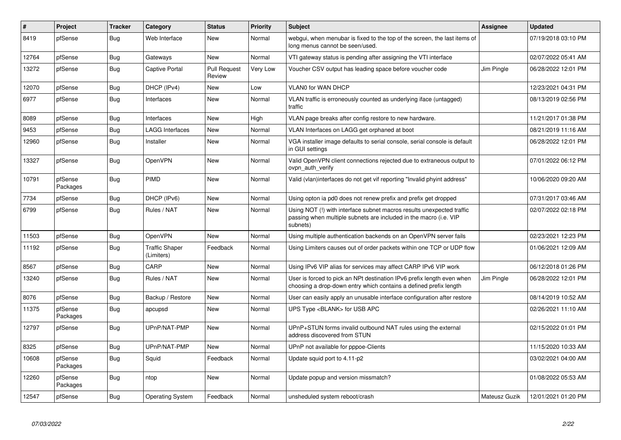| $\vert$ # | Project             | <b>Tracker</b> | Category                            | <b>Status</b>                 | <b>Priority</b> | <b>Subject</b>                                                                                                                                         | Assignee      | <b>Updated</b>      |
|-----------|---------------------|----------------|-------------------------------------|-------------------------------|-----------------|--------------------------------------------------------------------------------------------------------------------------------------------------------|---------------|---------------------|
| 8419      | pfSense             | <b>Bug</b>     | Web Interface                       | <b>New</b>                    | Normal          | webgui, when menubar is fixed to the top of the screen, the last items of<br>long menus cannot be seen/used.                                           |               | 07/19/2018 03:10 PM |
| 12764     | pfSense             | <b>Bug</b>     | Gateways                            | New                           | Normal          | VTI gateway status is pending after assigning the VTI interface                                                                                        |               | 02/07/2022 05:41 AM |
| 13272     | pfSense             | Bug            | <b>Captive Portal</b>               | <b>Pull Request</b><br>Review | Very Low        | Voucher CSV output has leading space before voucher code                                                                                               | Jim Pingle    | 06/28/2022 12:01 PM |
| 12070     | pfSense             | Bug            | DHCP (IPv4)                         | <b>New</b>                    | Low             | VLAN0 for WAN DHCP                                                                                                                                     |               | 12/23/2021 04:31 PM |
| 6977      | pfSense             | Bug            | Interfaces                          | <b>New</b>                    | Normal          | VLAN traffic is erroneously counted as underlying iface (untagged)<br>traffic                                                                          |               | 08/13/2019 02:56 PM |
| 8089      | pfSense             | <b>Bug</b>     | Interfaces                          | <b>New</b>                    | High            | VLAN page breaks after config restore to new hardware.                                                                                                 |               | 11/21/2017 01:38 PM |
| 9453      | pfSense             | <b>Bug</b>     | <b>LAGG Interfaces</b>              | New                           | Normal          | VLAN Interfaces on LAGG get orphaned at boot                                                                                                           |               | 08/21/2019 11:16 AM |
| 12960     | pfSense             | Bug            | Installer                           | New                           | Normal          | VGA installer image defaults to serial console, serial console is default<br>in GUI settings                                                           |               | 06/28/2022 12:01 PM |
| 13327     | pfSense             | Bug            | OpenVPN                             | <b>New</b>                    | Normal          | Valid OpenVPN client connections rejected due to extraneous output to<br>ovpn auth verify                                                              |               | 07/01/2022 06:12 PM |
| 10791     | pfSense<br>Packages | Bug            | PIMD                                | <b>New</b>                    | Normal          | Valid (vlan)interfaces do not get vif reporting "Invalid phyint address"                                                                               |               | 10/06/2020 09:20 AM |
| 7734      | pfSense             | Bug            | DHCP (IPv6)                         | <b>New</b>                    | Normal          | Using opton ia pd0 does not renew prefix and prefix get dropped                                                                                        |               | 07/31/2017 03:46 AM |
| 6799      | pfSense             | Bug            | Rules / NAT                         | <b>New</b>                    | Normal          | Using NOT (!) with interface subnet macros results unexpected traffic<br>passing when multiple subnets are included in the macro (i.e. VIP<br>subnets) |               | 02/07/2022 02:18 PM |
| 11503     | pfSense             | <b>Bug</b>     | OpenVPN                             | <b>New</b>                    | Normal          | Using multiple authentication backends on an OpenVPN server fails                                                                                      |               | 02/23/2021 12:23 PM |
| 11192     | pfSense             | Bug            | <b>Traffic Shaper</b><br>(Limiters) | Feedback                      | Normal          | Using Limiters causes out of order packets within one TCP or UDP flow                                                                                  |               | 01/06/2021 12:09 AM |
| 8567      | pfSense             | <b>Bug</b>     | CARP                                | New                           | Normal          | Using IPv6 VIP alias for services may affect CARP IPv6 VIP work                                                                                        |               | 06/12/2018 01:26 PM |
| 13240     | pfSense             | <b>Bug</b>     | Rules / NAT                         | <b>New</b>                    | Normal          | User is forced to pick an NPt destination IPv6 prefix length even when<br>choosing a drop-down entry which contains a defined prefix length            | Jim Pingle    | 06/28/2022 12:01 PM |
| 8076      | pfSense             | <b>Bug</b>     | Backup / Restore                    | <b>New</b>                    | Normal          | User can easily apply an unusable interface configuration after restore                                                                                |               | 08/14/2019 10:52 AM |
| 11375     | pfSense<br>Packages | Bug            | apcupsd                             | <b>New</b>                    | Normal          | UPS Type <blank> for USB APC</blank>                                                                                                                   |               | 02/26/2021 11:10 AM |
| 12797     | pfSense             | <b>Bug</b>     | UPnP/NAT-PMP                        | <b>New</b>                    | Normal          | UPnP+STUN forms invalid outbound NAT rules using the external<br>address discovered from STUN                                                          |               | 02/15/2022 01:01 PM |
| 8325      | pfSense             | Bug            | UPnP/NAT-PMP                        | <b>New</b>                    | Normal          | UPnP not available for pppoe-Clients                                                                                                                   |               | 11/15/2020 10:33 AM |
| 10608     | pfSense<br>Packages | <b>Bug</b>     | Squid                               | Feedback                      | Normal          | Update squid port to 4.11-p2                                                                                                                           |               | 03/02/2021 04:00 AM |
| 12260     | pfSense<br>Packages | Bug            | ntop                                | New                           | Normal          | Update popup and version missmatch?                                                                                                                    |               | 01/08/2022 05:53 AM |
| 12547     | pfSense             | Bug            | <b>Operating System</b>             | Feedback                      | Normal          | unsheduled system reboot/crash                                                                                                                         | Mateusz Guzik | 12/01/2021 01:20 PM |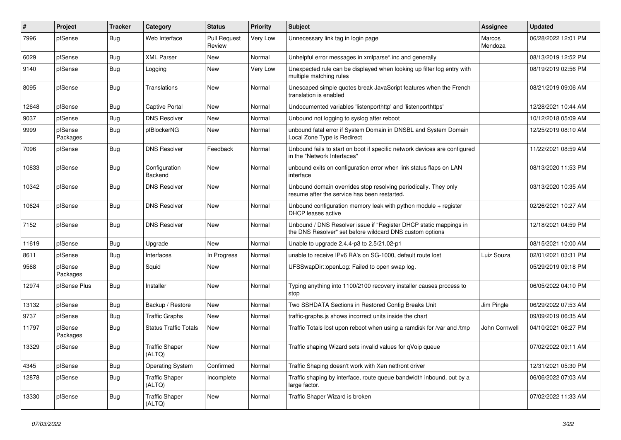| #     | Project             | <b>Tracker</b> | Category                        | <b>Status</b>                 | <b>Priority</b> | <b>Subject</b>                                                                                                                | Assignee          | <b>Updated</b>      |
|-------|---------------------|----------------|---------------------------------|-------------------------------|-----------------|-------------------------------------------------------------------------------------------------------------------------------|-------------------|---------------------|
| 7996  | pfSense             | Bug            | Web Interface                   | <b>Pull Request</b><br>Review | Very Low        | Unnecessary link tag in login page                                                                                            | Marcos<br>Mendoza | 06/28/2022 12:01 PM |
| 6029  | pfSense             | Bug            | <b>XML Parser</b>               | New                           | Normal          | Unhelpful error messages in xmlparse*.inc and generally                                                                       |                   | 08/13/2019 12:52 PM |
| 9140  | pfSense             | Bug            | Logging                         | New                           | Very Low        | Unexpected rule can be displayed when looking up filter log entry with<br>multiple matching rules                             |                   | 08/19/2019 02:56 PM |
| 8095  | pfSense             | Bug            | Translations                    | <b>New</b>                    | Normal          | Unescaped simple quotes break JavaScript features when the French<br>translation is enabled                                   |                   | 08/21/2019 09:06 AM |
| 12648 | pfSense             | Bug            | <b>Captive Portal</b>           | New                           | Normal          | Undocumented variables 'listenporthttp' and 'listenporthttps'                                                                 |                   | 12/28/2021 10:44 AM |
| 9037  | pfSense             | Bug            | <b>DNS Resolver</b>             | New                           | Normal          | Unbound not logging to syslog after reboot                                                                                    |                   | 10/12/2018 05:09 AM |
| 9999  | pfSense<br>Packages | Bug            | pfBlockerNG                     | New                           | Normal          | unbound fatal error if System Domain in DNSBL and System Domain<br>Local Zone Type is Redirect                                |                   | 12/25/2019 08:10 AM |
| 7096  | pfSense             | Bug            | <b>DNS Resolver</b>             | Feedback                      | Normal          | Unbound fails to start on boot if specific network devices are configured<br>in the "Network Interfaces"                      |                   | 11/22/2021 08:59 AM |
| 10833 | pfSense             | Bug            | Configuration<br><b>Backend</b> | <b>New</b>                    | Normal          | unbound exits on configuration error when link status flaps on LAN<br>interface                                               |                   | 08/13/2020 11:53 PM |
| 10342 | pfSense             | <b>Bug</b>     | <b>DNS Resolver</b>             | <b>New</b>                    | Normal          | Unbound domain overrides stop resolving periodically. They only<br>resume after the service has been restarted.               |                   | 03/13/2020 10:35 AM |
| 10624 | pfSense             | Bug            | <b>DNS Resolver</b>             | New                           | Normal          | Unbound configuration memory leak with python module + register<br><b>DHCP</b> leases active                                  |                   | 02/26/2021 10:27 AM |
| 7152  | pfSense             | Bug            | <b>DNS Resolver</b>             | <b>New</b>                    | Normal          | Unbound / DNS Resolver issue if "Register DHCP static mappings in<br>the DNS Resolver" set before wildcard DNS custom options |                   | 12/18/2021 04:59 PM |
| 11619 | pfSense             | Bug            | Upgrade                         | New                           | Normal          | Unable to upgrade 2.4.4-p3 to 2.5/21.02-p1                                                                                    |                   | 08/15/2021 10:00 AM |
| 8611  | pfSense             | Bug            | Interfaces                      | In Progress                   | Normal          | unable to receive IPv6 RA's on SG-1000, default route lost                                                                    | Luiz Souza        | 02/01/2021 03:31 PM |
| 9568  | pfSense<br>Packages | <b>Bug</b>     | Squid                           | New                           | Normal          | UFSSwapDir::openLog: Failed to open swap log.                                                                                 |                   | 05/29/2019 09:18 PM |
| 12974 | pfSense Plus        | <b>Bug</b>     | Installer                       | New                           | Normal          | Typing anything into 1100/2100 recovery installer causes process to<br>stop                                                   |                   | 06/05/2022 04:10 PM |
| 13132 | pfSense             | Bug            | Backup / Restore                | <b>New</b>                    | Normal          | Two SSHDATA Sections in Restored Config Breaks Unit                                                                           | Jim Pingle        | 06/29/2022 07:53 AM |
| 9737  | pfSense             | Bug            | <b>Traffic Graphs</b>           | <b>New</b>                    | Normal          | traffic-graphs.js shows incorrect units inside the chart                                                                      |                   | 09/09/2019 06:35 AM |
| 11797 | pfSense<br>Packages | Bug            | <b>Status Traffic Totals</b>    | New                           | Normal          | Traffic Totals lost upon reboot when using a ramdisk for /var and /tmp                                                        | John Cornwell     | 04/10/2021 06:27 PM |
| 13329 | pfSense             | <b>Bug</b>     | <b>Traffic Shaper</b><br>(ALTQ) | New                           | Normal          | Traffic shaping Wizard sets invalid values for qVoip queue                                                                    |                   | 07/02/2022 09:11 AM |
| 4345  | pfSense             | <b>Bug</b>     | <b>Operating System</b>         | Confirmed                     | Normal          | Traffic Shaping doesn't work with Xen netfront driver                                                                         |                   | 12/31/2021 05:30 PM |
| 12878 | pfSense             | Bug            | <b>Traffic Shaper</b><br>(ALTQ) | Incomplete                    | Normal          | Traffic shaping by interface, route queue bandwidth inbound, out by a<br>large factor.                                        |                   | 06/06/2022 07:03 AM |
| 13330 | pfSense             | Bug            | <b>Traffic Shaper</b><br>(ALTQ) | New                           | Normal          | Traffic Shaper Wizard is broken                                                                                               |                   | 07/02/2022 11:33 AM |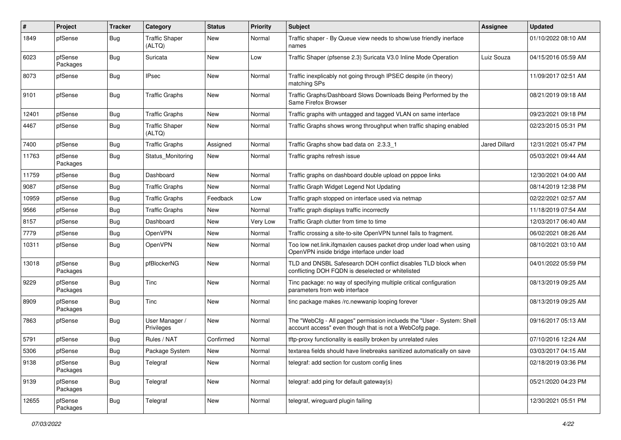| #     | Project             | <b>Tracker</b> | Category                        | <b>Status</b> | <b>Priority</b> | <b>Subject</b>                                                                                                                    | Assignee      | <b>Updated</b>      |
|-------|---------------------|----------------|---------------------------------|---------------|-----------------|-----------------------------------------------------------------------------------------------------------------------------------|---------------|---------------------|
| 1849  | pfSense             | <b>Bug</b>     | <b>Traffic Shaper</b><br>(ALTQ) | New           | Normal          | Traffic shaper - By Queue view needs to show/use friendly inerface<br>names                                                       |               | 01/10/2022 08:10 AM |
| 6023  | pfSense<br>Packages | Bug            | Suricata                        | New           | Low             | Traffic Shaper (pfsense 2.3) Suricata V3.0 Inline Mode Operation                                                                  | Luiz Souza    | 04/15/2016 05:59 AM |
| 8073  | pfSense             | <b>Bug</b>     | <b>IPsec</b>                    | <b>New</b>    | Normal          | Traffic inexplicably not going through IPSEC despite (in theory)<br>matching SPs                                                  |               | 11/09/2017 02:51 AM |
| 9101  | pfSense             | Bug            | <b>Traffic Graphs</b>           | New           | Normal          | Traffic Graphs/Dashboard Slows Downloads Being Performed by the<br>Same Firefox Browser                                           |               | 08/21/2019 09:18 AM |
| 12401 | pfSense             | Bug            | <b>Traffic Graphs</b>           | New           | Normal          | Traffic graphs with untagged and tagged VLAN on same interface                                                                    |               | 09/23/2021 09:18 PM |
| 4467  | pfSense             | Bug            | <b>Traffic Shaper</b><br>(ALTQ) | New           | Normal          | Traffic Graphs shows wrong throughput when traffic shaping enabled                                                                |               | 02/23/2015 05:31 PM |
| 7400  | pfSense             | Bug            | <b>Traffic Graphs</b>           | Assigned      | Normal          | Traffic Graphs show bad data on 2.3.3_1                                                                                           | Jared Dillard | 12/31/2021 05:47 PM |
| 11763 | pfSense<br>Packages | <b>Bug</b>     | Status Monitoring               | New           | Normal          | Traffic graphs refresh issue                                                                                                      |               | 05/03/2021 09:44 AM |
| 11759 | pfSense             | Bug            | Dashboard                       | <b>New</b>    | Normal          | Traffic graphs on dashboard double upload on pppoe links                                                                          |               | 12/30/2021 04:00 AM |
| 9087  | pfSense             | <b>Bug</b>     | <b>Traffic Graphs</b>           | New           | Normal          | Traffic Graph Widget Legend Not Updating                                                                                          |               | 08/14/2019 12:38 PM |
| 10959 | pfSense             | Bug            | <b>Traffic Graphs</b>           | Feedback      | Low             | Traffic graph stopped on interface used via netmap                                                                                |               | 02/22/2021 02:57 AM |
| 9566  | pfSense             | <b>Bug</b>     | <b>Traffic Graphs</b>           | New           | Normal          | Traffic graph displays traffic incorrectly                                                                                        |               | 11/18/2019 07:54 AM |
| 8157  | pfSense             | <b>Bug</b>     | Dashboard                       | New           | Very Low        | Traffic Graph clutter from time to time                                                                                           |               | 12/03/2017 06:40 AM |
| 7779  | pfSense             | <b>Bug</b>     | OpenVPN                         | New           | Normal          | Traffic crossing a site-to-site OpenVPN tunnel fails to fragment.                                                                 |               | 06/02/2021 08:26 AM |
| 10311 | pfSense             | Bug            | OpenVPN                         | New           | Normal          | Too low net.link.ifqmaxlen causes packet drop under load when using<br>OpenVPN inside bridge interface under load                 |               | 08/10/2021 03:10 AM |
| 13018 | pfSense<br>Packages | <b>Bug</b>     | pfBlockerNG                     | New           | Normal          | TLD and DNSBL Safesearch DOH conflict disables TLD block when<br>conflicting DOH FQDN is deselected or whitelisted                |               | 04/01/2022 05:59 PM |
| 9229  | pfSense<br>Packages | Bug            | Tinc                            | <b>New</b>    | Normal          | Tinc package: no way of specifying multiple critical configuration<br>parameters from web interface                               |               | 08/13/2019 09:25 AM |
| 8909  | pfSense<br>Packages | <b>Bug</b>     | Tinc                            | New           | Normal          | tinc package makes /rc.newwanip looping forever                                                                                   |               | 08/13/2019 09:25 AM |
| 7863  | pfSense             | Bug            | User Manager /<br>Privileges    | New           | Normal          | The "WebCfg - All pages" permission inclueds the "User - System: Shell<br>account access" even though that is not a WebCofg page. |               | 09/16/2017 05:13 AM |
| 5791  | pfSense             | Bug            | Rules / NAT                     | Confirmed     | Normal          | tftp-proxy functionality is easilly broken by unrelated rules                                                                     |               | 07/10/2016 12:24 AM |
| 5306  | pfSense             | Bug            | Package System                  | New           | Normal          | textarea fields should have linebreaks sanitized automatically on save                                                            |               | 03/03/2017 04:15 AM |
| 9138  | pfSense<br>Packages | <b>Bug</b>     | Telegraf                        | New           | Normal          | telegraf: add section for custom config lines                                                                                     |               | 02/18/2019 03:36 PM |
| 9139  | pfSense<br>Packages | Bug            | Telegraf                        | New           | Normal          | telegraf: add ping for default gateway(s)                                                                                         |               | 05/21/2020 04:23 PM |
| 12655 | pfSense<br>Packages | <b>Bug</b>     | Telegraf                        | New           | Normal          | telegraf, wireguard plugin failing                                                                                                |               | 12/30/2021 05:51 PM |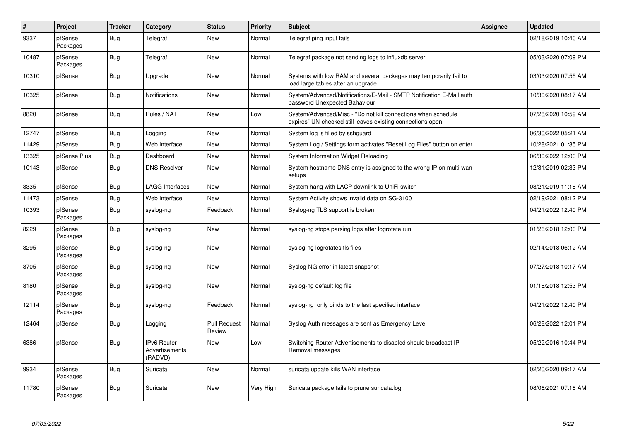| $\vert$ # | Project             | <b>Tracker</b> | Category                                 | <b>Status</b>                 | <b>Priority</b> | <b>Subject</b>                                                                                                               | <b>Assignee</b> | <b>Updated</b>      |
|-----------|---------------------|----------------|------------------------------------------|-------------------------------|-----------------|------------------------------------------------------------------------------------------------------------------------------|-----------------|---------------------|
| 9337      | pfSense<br>Packages | Bug            | Telegraf                                 | <b>New</b>                    | Normal          | Telegraf ping input fails                                                                                                    |                 | 02/18/2019 10:40 AM |
| 10487     | pfSense<br>Packages | Bug            | Telegraf                                 | <b>New</b>                    | Normal          | Telegraf package not sending logs to influxdb server                                                                         |                 | 05/03/2020 07:09 PM |
| 10310     | pfSense             | <b>Bug</b>     | Upgrade                                  | <b>New</b>                    | Normal          | Systems with low RAM and several packages may temporarily fail to<br>load large tables after an upgrade                      |                 | 03/03/2020 07:55 AM |
| 10325     | pfSense             | Bug            | <b>Notifications</b>                     | <b>New</b>                    | Normal          | System/Advanced/Notifications/E-Mail - SMTP Notification E-Mail auth<br>password Unexpected Bahaviour                        |                 | 10/30/2020 08:17 AM |
| 8820      | pfSense             | <b>Bug</b>     | Rules / NAT                              | New                           | Low             | System/Advanced/Misc - "Do not kill connections when schedule<br>expires" UN-checked still leaves existing connections open. |                 | 07/28/2020 10:59 AM |
| 12747     | pfSense             | <b>Bug</b>     | Logging                                  | <b>New</b>                    | Normal          | System log is filled by sshguard                                                                                             |                 | 06/30/2022 05:21 AM |
| 11429     | pfSense             | <b>Bug</b>     | Web Interface                            | <b>New</b>                    | Normal          | System Log / Settings form activates "Reset Log Files" button on enter                                                       |                 | 10/28/2021 01:35 PM |
| 13325     | pfSense Plus        | <b>Bug</b>     | Dashboard                                | <b>New</b>                    | Normal          | System Information Widget Reloading                                                                                          |                 | 06/30/2022 12:00 PM |
| 10143     | pfSense             | <b>Bug</b>     | <b>DNS Resolver</b>                      | New                           | Normal          | System hostname DNS entry is assigned to the wrong IP on multi-wan<br>setups                                                 |                 | 12/31/2019 02:33 PM |
| 8335      | pfSense             | <b>Bug</b>     | <b>LAGG Interfaces</b>                   | <b>New</b>                    | Normal          | System hang with LACP downlink to UniFi switch                                                                               |                 | 08/21/2019 11:18 AM |
| 11473     | pfSense             | <b>Bug</b>     | Web Interface                            | <b>New</b>                    | Normal          | System Activity shows invalid data on SG-3100                                                                                |                 | 02/19/2021 08:12 PM |
| 10393     | pfSense<br>Packages | <b>Bug</b>     | syslog-ng                                | Feedback                      | Normal          | Syslog-ng TLS support is broken                                                                                              |                 | 04/21/2022 12:40 PM |
| 8229      | pfSense<br>Packages | Bug            | syslog-ng                                | <b>New</b>                    | Normal          | syslog-ng stops parsing logs after logrotate run                                                                             |                 | 01/26/2018 12:00 PM |
| 8295      | pfSense<br>Packages | Bug            | syslog-ng                                | <b>New</b>                    | Normal          | syslog-ng logrotates tls files                                                                                               |                 | 02/14/2018 06:12 AM |
| 8705      | pfSense<br>Packages | Bug            | syslog-ng                                | <b>New</b>                    | Normal          | Syslog-NG error in latest snapshot                                                                                           |                 | 07/27/2018 10:17 AM |
| 8180      | pfSense<br>Packages | Bug            | syslog-ng                                | <b>New</b>                    | Normal          | syslog-ng default log file                                                                                                   |                 | 01/16/2018 12:53 PM |
| 12114     | pfSense<br>Packages | Bug            | syslog-ng                                | Feedback                      | Normal          | syslog-ng only binds to the last specified interface                                                                         |                 | 04/21/2022 12:40 PM |
| 12464     | pfSense             | Bug            | Logging                                  | <b>Pull Request</b><br>Review | Normal          | Syslog Auth messages are sent as Emergency Level                                                                             |                 | 06/28/2022 12:01 PM |
| 6386      | pfSense             | <b>Bug</b>     | IPv6 Router<br>Advertisements<br>(RADVD) | New                           | Low             | Switching Router Advertisements to disabled should broadcast IP<br>Removal messages                                          |                 | 05/22/2016 10:44 PM |
| 9934      | pfSense<br>Packages | Bug            | Suricata                                 | <b>New</b>                    | Normal          | suricata update kills WAN interface                                                                                          |                 | 02/20/2020 09:17 AM |
| 11780     | pfSense<br>Packages | <b>Bug</b>     | Suricata                                 | <b>New</b>                    | Very High       | Suricata package fails to prune suricata.log                                                                                 |                 | 08/06/2021 07:18 AM |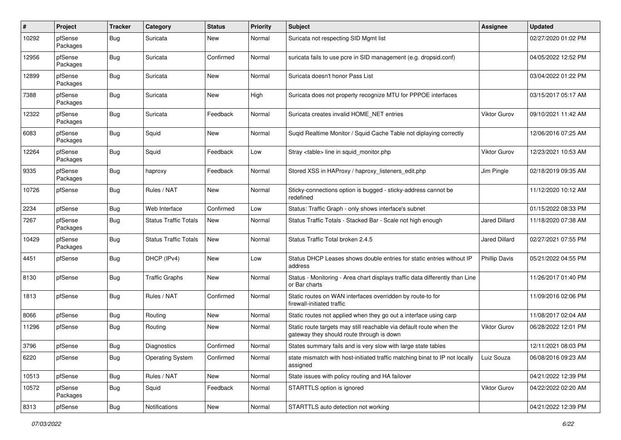| $\pmb{\#}$ | Project             | <b>Tracker</b> | Category                     | <b>Status</b> | <b>Priority</b> | <b>Subject</b>                                                                                                   | Assignee             | <b>Updated</b>      |
|------------|---------------------|----------------|------------------------------|---------------|-----------------|------------------------------------------------------------------------------------------------------------------|----------------------|---------------------|
| 10292      | pfSense<br>Packages | <b>Bug</b>     | Suricata                     | New           | Normal          | Suricata not respecting SID Mgmt list                                                                            |                      | 02/27/2020 01:02 PM |
| 12956      | pfSense<br>Packages | <b>Bug</b>     | Suricata                     | Confirmed     | Normal          | suricata fails to use pcre in SID management (e.g. dropsid.conf)                                                 |                      | 04/05/2022 12:52 PM |
| 12899      | pfSense<br>Packages | <b>Bug</b>     | Suricata                     | <b>New</b>    | Normal          | Suricata doesn't honor Pass List                                                                                 |                      | 03/04/2022 01:22 PM |
| 7388       | pfSense<br>Packages | <b>Bug</b>     | Suricata                     | New           | High            | Suricata does not property recognize MTU for PPPOE interfaces                                                    |                      | 03/15/2017 05:17 AM |
| 12322      | pfSense<br>Packages | <b>Bug</b>     | Suricata                     | Feedback      | Normal          | Suricata creates invalid HOME_NET entries                                                                        | <b>Viktor Gurov</b>  | 09/10/2021 11:42 AM |
| 6083       | pfSense<br>Packages | Bug            | Squid                        | New           | Normal          | Suqid Realtime Monitor / Squid Cache Table not diplaying correctly                                               |                      | 12/06/2016 07:25 AM |
| 12264      | pfSense<br>Packages | <b>Bug</b>     | Squid                        | Feedback      | Low             | Stray <table> line in squid monitor.php</table>                                                                  | Viktor Gurov         | 12/23/2021 10:53 AM |
| 9335       | pfSense<br>Packages | <b>Bug</b>     | haproxy                      | Feedback      | Normal          | Stored XSS in HAProxy / haproxy_listeners_edit.php                                                               | Jim Pingle           | 02/18/2019 09:35 AM |
| 10726      | pfSense             | <b>Bug</b>     | Rules / NAT                  | <b>New</b>    | Normal          | Sticky-connections option is bugged - sticky-address cannot be<br>redefined                                      |                      | 11/12/2020 10:12 AM |
| 2234       | pfSense             | Bug            | Web Interface                | Confirmed     | Low             | Status: Traffic Graph - only shows interface's subnet                                                            |                      | 01/15/2022 08:33 PM |
| 7267       | pfSense<br>Packages | <b>Bug</b>     | <b>Status Traffic Totals</b> | New           | Normal          | Status Traffic Totals - Stacked Bar - Scale not high enough                                                      | <b>Jared Dillard</b> | 11/18/2020 07:38 AM |
| 10429      | pfSense<br>Packages | <b>Bug</b>     | <b>Status Traffic Totals</b> | New           | Normal          | Status Traffic Total broken 2.4.5                                                                                | <b>Jared Dillard</b> | 02/27/2021 07:55 PM |
| 4451       | pfSense             | <b>Bug</b>     | DHCP (IPv4)                  | New           | Low             | Status DHCP Leases shows double entries for static entries without IP<br>address                                 | <b>Phillip Davis</b> | 05/21/2022 04:55 PM |
| 8130       | pfSense             | <b>Bug</b>     | <b>Traffic Graphs</b>        | New           | Normal          | Status - Monitoring - Area chart displays traffic data differently than Line<br>or Bar charts                    |                      | 11/26/2017 01:40 PM |
| 1813       | pfSense             | <b>Bug</b>     | Rules / NAT                  | Confirmed     | Normal          | Static routes on WAN interfaces overridden by route-to for<br>firewall-initiated traffic                         |                      | 11/09/2016 02:06 PM |
| 8066       | pfSense             | Bug            | Routing                      | New           | Normal          | Static routes not applied when they go out a interface using carp                                                |                      | 11/08/2017 02:04 AM |
| 11296      | pfSense             | <b>Bug</b>     | Routing                      | New           | Normal          | Static route targets may still reachable via default route when the<br>gateway they should route through is down | <b>Viktor Gurov</b>  | 06/28/2022 12:01 PM |
| 3796       | pfSense             | Bug            | <b>Diagnostics</b>           | Confirmed     | Normal          | States summary fails and is very slow with large state tables                                                    |                      | 12/11/2021 08:03 PM |
| 6220       | pfSense             | <b>Bug</b>     | <b>Operating System</b>      | Confirmed     | Normal          | state mismatch with host-initiated traffic matching binat to IP not locally<br>assigned                          | Luiz Souza           | 06/08/2016 09:23 AM |
| 10513      | pfSense             | <b>Bug</b>     | Rules / NAT                  | New           | Normal          | State issues with policy routing and HA failover                                                                 |                      | 04/21/2022 12:39 PM |
| 10572      | pfSense<br>Packages | <b>Bug</b>     | Squid                        | Feedback      | Normal          | STARTTLS option is ignored                                                                                       | Viktor Gurov         | 04/22/2022 02:20 AM |
| 8313       | pfSense             | Bug            | Notifications                | New           | Normal          | STARTTLS auto detection not working                                                                              |                      | 04/21/2022 12:39 PM |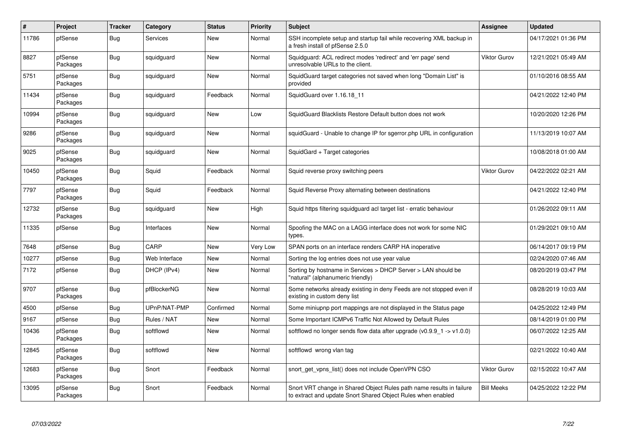| $\sharp$ | Project             | <b>Tracker</b> | Category      | <b>Status</b> | <b>Priority</b> | <b>Subject</b>                                                                                                                       | <b>Assignee</b>     | <b>Updated</b>      |
|----------|---------------------|----------------|---------------|---------------|-----------------|--------------------------------------------------------------------------------------------------------------------------------------|---------------------|---------------------|
| 11786    | pfSense             | <b>Bug</b>     | Services      | New           | Normal          | SSH incomplete setup and startup fail while recovering XML backup in<br>a fresh install of pfSense 2.5.0                             |                     | 04/17/2021 01:36 PM |
| 8827     | pfSense<br>Packages | Bug            | squidguard    | New           | Normal          | Squidguard: ACL redirect modes 'redirect' and 'err page' send<br>unresolvable URLs to the client.                                    | <b>Viktor Gurov</b> | 12/21/2021 05:49 AM |
| 5751     | pfSense<br>Packages | Bug            | squidguard    | New           | Normal          | SquidGuard target categories not saved when long "Domain List" is<br>provided                                                        |                     | 01/10/2016 08:55 AM |
| 11434    | pfSense<br>Packages | <b>Bug</b>     | squidguard    | Feedback      | Normal          | SquidGuard over 1.16.18 11                                                                                                           |                     | 04/21/2022 12:40 PM |
| 10994    | pfSense<br>Packages | <b>Bug</b>     | squidguard    | <b>New</b>    | Low             | SquidGuard Blacklists Restore Default button does not work                                                                           |                     | 10/20/2020 12:26 PM |
| 9286     | pfSense<br>Packages | Bug            | squidguard    | New           | Normal          | squidGuard - Unable to change IP for sgerror.php URL in configuration                                                                |                     | 11/13/2019 10:07 AM |
| 9025     | pfSense<br>Packages | Bug            | squidguard    | New           | Normal          | SquidGard + Target categories                                                                                                        |                     | 10/08/2018 01:00 AM |
| 10450    | pfSense<br>Packages | Bug            | Squid         | Feedback      | Normal          | Squid reverse proxy switching peers                                                                                                  | Viktor Gurov        | 04/22/2022 02:21 AM |
| 7797     | pfSense<br>Packages | Bug            | Squid         | Feedback      | Normal          | Squid Reverse Proxy alternating between destinations                                                                                 |                     | 04/21/2022 12:40 PM |
| 12732    | pfSense<br>Packages | <b>Bug</b>     | squidguard    | <b>New</b>    | High            | Squid https filtering squidguard acl target list - erratic behaviour                                                                 |                     | 01/26/2022 09:11 AM |
| 11335    | pfSense             | <b>Bug</b>     | Interfaces    | <b>New</b>    | Normal          | Spoofing the MAC on a LAGG interface does not work for some NIC<br>types.                                                            |                     | 01/29/2021 09:10 AM |
| 7648     | pfSense             | Bug            | CARP          | <b>New</b>    | Very Low        | SPAN ports on an interface renders CARP HA inoperative                                                                               |                     | 06/14/2017 09:19 PM |
| 10277    | pfSense             | <b>Bug</b>     | Web Interface | <b>New</b>    | Normal          | Sorting the log entries does not use year value                                                                                      |                     | 02/24/2020 07:46 AM |
| 7172     | pfSense             | Bug            | DHCP (IPv4)   | New           | Normal          | Sorting by hostname in Services > DHCP Server > LAN should be<br>'natural" (alphanumeric friendly)                                   |                     | 08/20/2019 03:47 PM |
| 9707     | pfSense<br>Packages | <b>Bug</b>     | pfBlockerNG   | <b>New</b>    | Normal          | Some networks already existing in deny Feeds are not stopped even if<br>existing in custom deny list                                 |                     | 08/28/2019 10:03 AM |
| 4500     | pfSense             | <b>Bug</b>     | UPnP/NAT-PMP  | Confirmed     | Normal          | Some miniupnp port mappings are not displayed in the Status page                                                                     |                     | 04/25/2022 12:49 PM |
| 9167     | pfSense             | <b>Bug</b>     | Rules / NAT   | New           | Normal          | Some Important ICMPv6 Traffic Not Allowed by Default Rules                                                                           |                     | 08/14/2019 01:00 PM |
| 10436    | pfSense<br>Packages | Bug            | softflowd     | New           | Normal          | softflowd no longer sends flow data after upgrade ( $v0.9.9$ 1 -> $v1.0.0$ )                                                         |                     | 06/07/2022 12:25 AM |
| 12845    | pfSense<br>Packages | Bug            | softflowd     | <b>New</b>    | Normal          | softflowd wrong vlan tag                                                                                                             |                     | 02/21/2022 10:40 AM |
| 12683    | pfSense<br>Packages | <b>Bug</b>     | Snort         | Feedback      | Normal          | snort_get_vpns_list() does not include OpenVPN CSO                                                                                   | <b>Viktor Gurov</b> | 02/15/2022 10:47 AM |
| 13095    | pfSense<br>Packages | Bug            | Snort         | Feedback      | Normal          | Snort VRT change in Shared Object Rules path name results in failure<br>to extract and update Snort Shared Object Rules when enabled | <b>Bill Meeks</b>   | 04/25/2022 12:22 PM |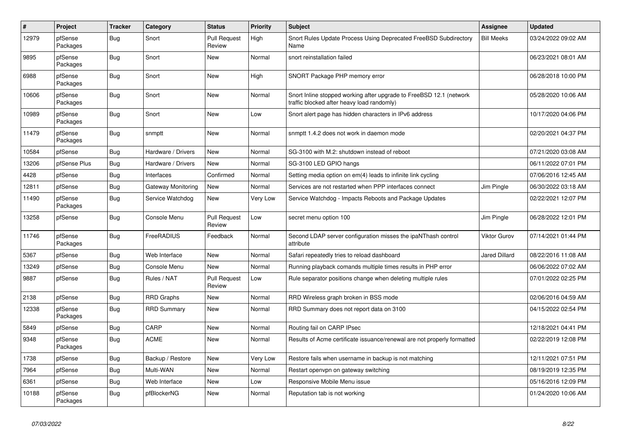| $\vert$ # | Project             | <b>Tracker</b> | Category           | <b>Status</b>                 | <b>Priority</b> | <b>Subject</b>                                                                                                    | <b>Assignee</b>      | <b>Updated</b>      |
|-----------|---------------------|----------------|--------------------|-------------------------------|-----------------|-------------------------------------------------------------------------------------------------------------------|----------------------|---------------------|
| 12979     | pfSense<br>Packages | Bug            | Snort              | <b>Pull Request</b><br>Review | High            | Snort Rules Update Process Using Deprecated FreeBSD Subdirectory<br>Name                                          | <b>Bill Meeks</b>    | 03/24/2022 09:02 AM |
| 9895      | pfSense<br>Packages | Bug            | Snort              | <b>New</b>                    | Normal          | snort reinstallation failed                                                                                       |                      | 06/23/2021 08:01 AM |
| 6988      | pfSense<br>Packages | <b>Bug</b>     | Snort              | <b>New</b>                    | High            | SNORT Package PHP memory error                                                                                    |                      | 06/28/2018 10:00 PM |
| 10606     | pfSense<br>Packages | <b>Bug</b>     | Snort              | New                           | Normal          | Snort Inline stopped working after upgrade to FreeBSD 12.1 (network<br>traffic blocked after heavy load randomly) |                      | 05/28/2020 10:06 AM |
| 10989     | pfSense<br>Packages | Bug            | Snort              | New                           | Low             | Snort alert page has hidden characters in IPv6 address                                                            |                      | 10/17/2020 04:06 PM |
| 11479     | pfSense<br>Packages | <b>Bug</b>     | snmptt             | <b>New</b>                    | Normal          | snmptt 1.4.2 does not work in daemon mode                                                                         |                      | 02/20/2021 04:37 PM |
| 10584     | pfSense             | <b>Bug</b>     | Hardware / Drivers | <b>New</b>                    | Normal          | SG-3100 with M.2: shutdown instead of reboot                                                                      |                      | 07/21/2020 03:08 AM |
| 13206     | pfSense Plus        | Bug            | Hardware / Drivers | <b>New</b>                    | Normal          | SG-3100 LED GPIO hangs                                                                                            |                      | 06/11/2022 07:01 PM |
| 4428      | pfSense             | Bug            | Interfaces         | Confirmed                     | Normal          | Setting media option on em(4) leads to infinite link cycling                                                      |                      | 07/06/2016 12:45 AM |
| 12811     | pfSense             | <b>Bug</b>     | Gateway Monitoring | New                           | Normal          | Services are not restarted when PPP interfaces connect                                                            | Jim Pingle           | 06/30/2022 03:18 AM |
| 11490     | pfSense<br>Packages | <b>Bug</b>     | Service Watchdog   | New                           | Very Low        | Service Watchdog - Impacts Reboots and Package Updates                                                            |                      | 02/22/2021 12:07 PM |
| 13258     | pfSense             | <b>Bug</b>     | Console Menu       | <b>Pull Request</b><br>Review | Low             | secret menu option 100                                                                                            | Jim Pingle           | 06/28/2022 12:01 PM |
| 11746     | pfSense<br>Packages | <b>Bug</b>     | FreeRADIUS         | Feedback                      | Normal          | Second LDAP server configuration misses the ipaNThash control<br>attribute                                        | <b>Viktor Gurov</b>  | 07/14/2021 01:44 PM |
| 5367      | pfSense             | Bug            | Web Interface      | New                           | Normal          | Safari repeatedly tries to reload dashboard                                                                       | <b>Jared Dillard</b> | 08/22/2016 11:08 AM |
| 13249     | pfSense             | <b>Bug</b>     | Console Menu       | New                           | Normal          | Running playback comands multiple times results in PHP error                                                      |                      | 06/06/2022 07:02 AM |
| 9887      | pfSense             | <b>Bug</b>     | Rules / NAT        | <b>Pull Request</b><br>Review | Low             | Rule separator positions change when deleting multiple rules                                                      |                      | 07/01/2022 02:25 PM |
| 2138      | pfSense             | <b>Bug</b>     | <b>RRD Graphs</b>  | New                           | Normal          | RRD Wireless graph broken in BSS mode                                                                             |                      | 02/06/2016 04:59 AM |
| 12338     | pfSense<br>Packages | <b>Bug</b>     | <b>RRD Summary</b> | New                           | Normal          | RRD Summary does not report data on 3100                                                                          |                      | 04/15/2022 02:54 PM |
| 5849      | pfSense             | <b>Bug</b>     | CARP               | <b>New</b>                    | Normal          | Routing fail on CARP IPsec                                                                                        |                      | 12/18/2021 04:41 PM |
| 9348      | pfSense<br>Packages | <b>Bug</b>     | <b>ACME</b>        | <b>New</b>                    | Normal          | Results of Acme certificate issuance/renewal are not properly formatted                                           |                      | 02/22/2019 12:08 PM |
| 1738      | pfSense             | Bug            | Backup / Restore   | New                           | Very Low        | Restore fails when username in backup is not matching                                                             |                      | 12/11/2021 07:51 PM |
| 7964      | pfSense             | <b>Bug</b>     | Multi-WAN          | New                           | Normal          | Restart openvpn on gateway switching                                                                              |                      | 08/19/2019 12:35 PM |
| 6361      | pfSense             | Bug            | Web Interface      | New                           | Low             | Responsive Mobile Menu issue                                                                                      |                      | 05/16/2016 12:09 PM |
| 10188     | pfSense<br>Packages | Bug            | pfBlockerNG        | New                           | Normal          | Reputation tab is not working                                                                                     |                      | 01/24/2020 10:06 AM |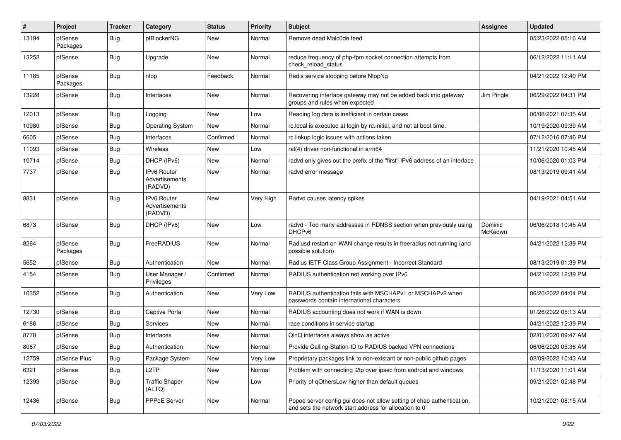| $\sharp$ | Project             | <b>Tracker</b> | Category                                        | <b>Status</b> | <b>Priority</b> | <b>Subject</b>                                                                                                                   | <b>Assignee</b>    | <b>Updated</b>      |
|----------|---------------------|----------------|-------------------------------------------------|---------------|-----------------|----------------------------------------------------------------------------------------------------------------------------------|--------------------|---------------------|
| 13194    | pfSense<br>Packages | Bug            | pfBlockerNG                                     | New           | Normal          | Remove dead Malc0de feed                                                                                                         |                    | 05/23/2022 05:16 AM |
| 13252    | pfSense             | Bug            | Upgrade                                         | New           | Normal          | reduce frequency of php-fpm socket connection attempts from<br>check_reload_status                                               |                    | 06/12/2022 11:11 AM |
| 11185    | pfSense<br>Packages | <b>Bug</b>     | ntop                                            | Feedback      | Normal          | Redis service stopping before NtopNg                                                                                             |                    | 04/21/2022 12:40 PM |
| 13228    | pfSense             | Bug            | Interfaces                                      | New           | Normal          | Recovering interface gateway may not be added back into gateway<br>groups and rules when expected                                | Jim Pingle         | 06/29/2022 04:31 PM |
| 12013    | pfSense             | <b>Bug</b>     | Logging                                         | <b>New</b>    | Low             | Reading log data is inefficient in certain cases                                                                                 |                    | 06/08/2021 07:35 AM |
| 10980    | pfSense             | Bug            | <b>Operating System</b>                         | New           | Normal          | rc.local is executed at login by rc.initial, and not at boot time.                                                               |                    | 10/19/2020 09:39 AM |
| 6605     | pfSense             | Bug            | Interfaces                                      | Confirmed     | Normal          | rc.linkup logic issues with actions taken                                                                                        |                    | 07/12/2016 07:46 PM |
| 11093    | pfSense             | <b>Bug</b>     | Wireless                                        | New           | Low             | ral(4) driver non-functional in arm64                                                                                            |                    | 11/21/2020 10:45 AM |
| 10714    | pfSense             | Bug            | DHCP (IPv6)                                     | New           | Normal          | radvd only gives out the prefix of the "first" IPv6 address of an interface                                                      |                    | 10/06/2020 01:03 PM |
| 7737     | pfSense             | <b>Bug</b>     | IPv6 Router<br>Advertisements<br>(RADVD)        | New           | Normal          | radvd error message                                                                                                              |                    | 08/13/2019 09:41 AM |
| 8831     | pfSense             | <b>Bug</b>     | <b>IPv6 Router</b><br>Advertisements<br>(RADVD) | New           | Very High       | Radvd causes latency spikes                                                                                                      |                    | 04/19/2021 04:51 AM |
| 6873     | pfSense             | Bug            | DHCP (IPv6)                                     | New           | Low             | radvd - Too many addresses in RDNSS section when previously using<br>DHCP <sub>v6</sub>                                          | Dominic<br>McKeown | 06/06/2018 10:45 AM |
| 8264     | pfSense<br>Packages | <b>Bug</b>     | FreeRADIUS                                      | <b>New</b>    | Normal          | Radiusd restart on WAN change results in freeradius not running (and<br>possible solution)                                       |                    | 04/21/2022 12:39 PM |
| 5652     | pfSense             | <b>Bug</b>     | Authentication                                  | New           | Normal          | Radius IETF Class Group Assignment - Incorrect Standard                                                                          |                    | 08/13/2019 01:39 PM |
| 4154     | pfSense             | <b>Bug</b>     | User Manager /<br>Privileges                    | Confirmed     | Normal          | RADIUS authentication not working over IPv6                                                                                      |                    | 04/21/2022 12:39 PM |
| 10352    | pfSense             | <b>Bug</b>     | Authentication                                  | <b>New</b>    | Very Low        | RADIUS authentication fails with MSCHAPv1 or MSCHAPv2 when<br>passwords contain international characters                         |                    | 06/20/2022 04:04 PM |
| 12730    | pfSense             | Bug            | <b>Captive Portal</b>                           | <b>New</b>    | Normal          | RADIUS accounting does not work if WAN is down                                                                                   |                    | 01/26/2022 05:13 AM |
| 6186     | pfSense             | <b>Bug</b>     | <b>Services</b>                                 | New           | Normal          | race conditions in service startup                                                                                               |                    | 04/21/2022 12:39 PM |
| 8770     | pfSense             | <b>Bug</b>     | Interfaces                                      | New           | Normal          | QinQ interfaces always show as active                                                                                            |                    | 02/01/2020 09:47 AM |
| 8087     | pfSense             | Bug            | Authentication                                  | New           | Normal          | Provide Calling-Station-ID to RADIUS backed VPN connections                                                                      |                    | 06/06/2020 05:36 AM |
| 12759    | pfSense Plus        | <b>Bug</b>     | Package System                                  | New           | Very Low        | Proprietary packages link to non-existant or non-public github pages                                                             |                    | 02/09/2022 10:43 AM |
| 6321     | pfSense             | <b>Bug</b>     | L <sub>2</sub> TP                               | New           | Normal          | Problem with connecting I2tp over ipsec from android and windows                                                                 |                    | 11/13/2020 11:01 AM |
| 12393    | pfSense             | <b>Bug</b>     | <b>Traffic Shaper</b><br>(ALTQ)                 | New           | Low             | Priority of gOthersLow higher than default queues                                                                                |                    | 09/21/2021 02:48 PM |
| 12436    | pfSense             | <b>Bug</b>     | PPPoE Server                                    | New           | Normal          | Pppoe server config gui does not allow setting of chap authentication,<br>and sets the network start address for allocation to 0 |                    | 10/21/2021 08:15 AM |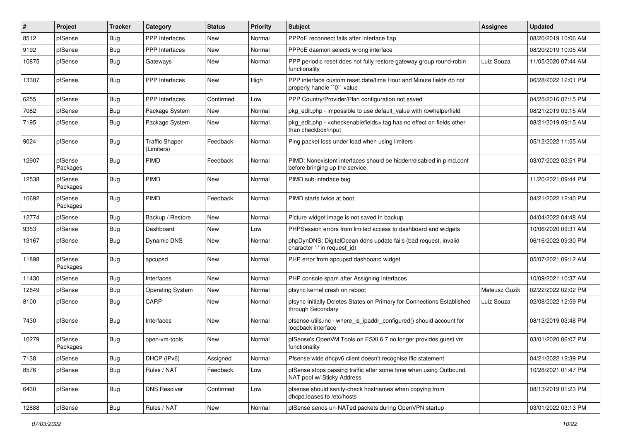| $\vert$ # | Project             | <b>Tracker</b> | Category                            | <b>Status</b> | <b>Priority</b> | Subject                                                                                                          | <b>Assignee</b> | <b>Updated</b>      |
|-----------|---------------------|----------------|-------------------------------------|---------------|-----------------|------------------------------------------------------------------------------------------------------------------|-----------------|---------------------|
| 8512      | pfSense             | Bug            | <b>PPP</b> Interfaces               | New           | Normal          | PPPoE reconnect fails after interface flap                                                                       |                 | 08/20/2019 10:06 AM |
| 9192      | pfSense             | <b>Bug</b>     | <b>PPP</b> Interfaces               | <b>New</b>    | Normal          | PPPoE daemon selects wrong interface                                                                             |                 | 08/20/2019 10:05 AM |
| 10875     | pfSense             | Bug            | Gateways                            | <b>New</b>    | Normal          | PPP periodic reset does not fully restore gateway group round-robin<br>functionality                             | Luiz Souza      | 11/05/2020 07:44 AM |
| 13307     | pfSense             | <b>Bug</b>     | <b>PPP</b> Interfaces               | <b>New</b>    | High            | PPP interface custom reset date/time Hour and Minute fields do not<br>properly handle "0" value                  |                 | 06/28/2022 12:01 PM |
| 6255      | pfSense             | <b>Bug</b>     | <b>PPP</b> Interfaces               | Confirmed     | Low             | PPP Country/Provider/Plan configuration not saved                                                                |                 | 04/25/2016 07:15 PM |
| 7082      | pfSense             | Bug            | Package System                      | <b>New</b>    | Normal          | pkg edit.php - impossible to use default value with rowhelperfield                                               |                 | 08/21/2019 09:15 AM |
| 7195      | pfSense             | <b>Bug</b>     | Package System                      | New           | Normal          | pkg_edit.php - <checkenablefields> tag has no effect on fields other<br/>than checkbox/input</checkenablefields> |                 | 08/21/2019 09:15 AM |
| 9024      | pfSense             | Bug            | <b>Traffic Shaper</b><br>(Limiters) | Feedback      | Normal          | Ping packet loss under load when using limiters                                                                  |                 | 05/12/2022 11:55 AM |
| 12907     | pfSense<br>Packages | <b>Bug</b>     | PIMD                                | Feedback      | Normal          | PIMD: Nonexistent interfaces should be hidden/disabled in pimd.conf<br>before bringing up the service            |                 | 03/07/2022 03:51 PM |
| 12538     | pfSense<br>Packages | <b>Bug</b>     | <b>PIMD</b>                         | New           | Normal          | PIMD sub-interface bug                                                                                           |                 | 11/20/2021 09:44 PM |
| 10692     | pfSense<br>Packages | Bug            | PIMD                                | Feedback      | Normal          | PIMD starts twice at boot                                                                                        |                 | 04/21/2022 12:40 PM |
| 12774     | pfSense             | <b>Bug</b>     | Backup / Restore                    | <b>New</b>    | Normal          | Picture widget image is not saved in backup                                                                      |                 | 04/04/2022 04:48 AM |
| 9353      | pfSense             | Bug            | Dashboard                           | New           | Low             | PHPSession errors from limited access to dashboard and widgets                                                   |                 | 10/06/2020 09:31 AM |
| 13167     | pfSense             | Bug            | Dynamic DNS                         | New           | Normal          | phpDynDNS: DigitalOcean ddns update fails (bad request, invalid<br>character '-' in request_id)                  |                 | 06/16/2022 09:30 PM |
| 11898     | pfSense<br>Packages | <b>Bug</b>     | apcupsd                             | <b>New</b>    | Normal          | PHP error from apcupsd dashboard widget                                                                          |                 | 05/07/2021 09:12 AM |
| 11430     | pfSense             | Bug            | Interfaces                          | <b>New</b>    | Normal          | PHP console spam after Assigning Interfaces                                                                      |                 | 10/09/2021 10:37 AM |
| 12849     | pfSense             | <b>Bug</b>     | <b>Operating System</b>             | New           | Normal          | pfsync kernel crash on reboot                                                                                    | Mateusz Guzik   | 02/22/2022 02:02 PM |
| 8100      | pfSense             | <b>Bug</b>     | CARP                                | <b>New</b>    | Normal          | pfsync Initially Deletes States on Primary for Connections Established<br>through Secondary                      | Luiz Souza      | 02/08/2022 12:59 PM |
| 7430      | pfSense             | <b>Bug</b>     | Interfaces                          | New           | Normal          | pfsense-utils.inc - where_is_ipaddr_configured() should account for<br>loopback interface                        |                 | 08/13/2019 03:48 PM |
| 10279     | pfSense<br>Packages | <b>Bug</b>     | open-vm-tools                       | <b>New</b>    | Normal          | pfSense's OpenVM Tools on ESXi 6.7 no longer provides guest vm<br>functionality                                  |                 | 03/01/2020 06:07 PM |
| 7138      | pfSense             | <b>Bug</b>     | DHCP (IPv6)                         | Assigned      | Normal          | Pfsense wide dhcpv6 client doesn't recognise ifid statement                                                      |                 | 04/21/2022 12:39 PM |
| 8576      | pfSense             | Bug            | Rules / NAT                         | Feedback      | Low             | pfSense stops passing traffic after some time when using Outbound<br>NAT pool w/ Sticky Address                  |                 | 10/28/2021 01:47 PM |
| 6430      | pfSense             | <b>Bug</b>     | <b>DNS Resolver</b>                 | Confirmed     | Low             | pfsense should sanity-check hostnames when copying from<br>dhcpd.leases to /etc/hosts                            |                 | 08/13/2019 01:23 PM |
| 12888     | pfSense             | <b>Bug</b>     | Rules / NAT                         | New           | Normal          | pfSense sends un-NATed packets during OpenVPN startup                                                            |                 | 03/01/2022 03:13 PM |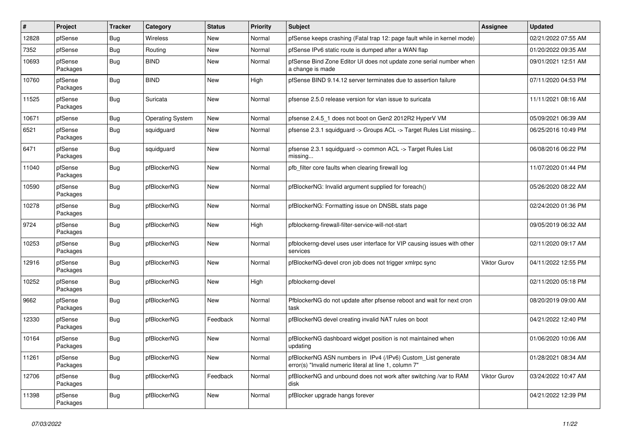| #     | Project             | <b>Tracker</b> | Category                | <b>Status</b> | <b>Priority</b> | Subject                                                                                                                | <b>Assignee</b> | <b>Updated</b>      |
|-------|---------------------|----------------|-------------------------|---------------|-----------------|------------------------------------------------------------------------------------------------------------------------|-----------------|---------------------|
| 12828 | pfSense             | Bug            | <b>Wireless</b>         | New           | Normal          | pfSense keeps crashing (Fatal trap 12: page fault while in kernel mode)                                                |                 | 02/21/2022 07:55 AM |
| 7352  | pfSense             | Bug            | Routing                 | New           | Normal          | pfSense IPv6 static route is dumped after a WAN flap                                                                   |                 | 01/20/2022 09:35 AM |
| 10693 | pfSense<br>Packages | <b>Bug</b>     | <b>BIND</b>             | New           | Normal          | pfSense Bind Zone Editor UI does not update zone serial number when<br>a change is made                                |                 | 09/01/2021 12:51 AM |
| 10760 | pfSense<br>Packages | <b>Bug</b>     | <b>BIND</b>             | <b>New</b>    | High            | pfSense BIND 9.14.12 server terminates due to assertion failure                                                        |                 | 07/11/2020 04:53 PM |
| 11525 | pfSense<br>Packages | <b>Bug</b>     | Suricata                | New           | Normal          | pfsense 2.5.0 release version for vlan issue to suricata                                                               |                 | 11/11/2021 08:16 AM |
| 10671 | pfSense             | <b>Bug</b>     | <b>Operating System</b> | New           | Normal          | pfsense 2.4.5 1 does not boot on Gen2 2012R2 HyperV VM                                                                 |                 | 05/09/2021 06:39 AM |
| 6521  | pfSense<br>Packages | Bug            | squidguard              | New           | Normal          | pfsense 2.3.1 squidguard -> Groups ACL -> Target Rules List missing                                                    |                 | 06/25/2016 10:49 PM |
| 6471  | pfSense<br>Packages | <b>Bug</b>     | squidguard              | New           | Normal          | pfsense 2.3.1 squidguard -> common ACL -> Target Rules List<br>missing                                                 |                 | 06/08/2016 06:22 PM |
| 11040 | pfSense<br>Packages | <b>Bug</b>     | pfBlockerNG             | <b>New</b>    | Normal          | pfb_filter core faults when clearing firewall log                                                                      |                 | 11/07/2020 01:44 PM |
| 10590 | pfSense<br>Packages | <b>Bug</b>     | pfBlockerNG             | <b>New</b>    | Normal          | pfBlockerNG: Invalid argument supplied for foreach()                                                                   |                 | 05/26/2020 08:22 AM |
| 10278 | pfSense<br>Packages | <b>Bug</b>     | pfBlockerNG             | New           | Normal          | pfBlockerNG: Formatting issue on DNSBL stats page                                                                      |                 | 02/24/2020 01:36 PM |
| 9724  | pfSense<br>Packages | <b>Bug</b>     | pfBlockerNG             | <b>New</b>    | High            | pfblockerng-firewall-filter-service-will-not-start                                                                     |                 | 09/05/2019 06:32 AM |
| 10253 | pfSense<br>Packages | <b>Bug</b>     | pfBlockerNG             | <b>New</b>    | Normal          | pfblockerng-devel uses user interface for VIP causing issues with other<br>services                                    |                 | 02/11/2020 09:17 AM |
| 12916 | pfSense<br>Packages | <b>Bug</b>     | pfBlockerNG             | <b>New</b>    | Normal          | pfBlockerNG-devel cron job does not trigger xmlrpc sync                                                                | Viktor Gurov    | 04/11/2022 12:55 PM |
| 10252 | pfSense<br>Packages | Bug            | pfBlockerNG             | New           | High            | pfblockerng-devel                                                                                                      |                 | 02/11/2020 05:18 PM |
| 9662  | pfSense<br>Packages | <b>Bug</b>     | pfBlockerNG             | <b>New</b>    | Normal          | PfblockerNG do not update after pfsense reboot and wait for next cron<br>task                                          |                 | 08/20/2019 09:00 AM |
| 12330 | pfSense<br>Packages | <b>Bug</b>     | pfBlockerNG             | Feedback      | Normal          | pfBlockerNG devel creating invalid NAT rules on boot                                                                   |                 | 04/21/2022 12:40 PM |
| 10164 | pfSense<br>Packages | <b>Bug</b>     | pfBlockerNG             | New           | Normal          | pfBlockerNG dashboard widget position is not maintained when<br>updating                                               |                 | 01/06/2020 10:06 AM |
| 11261 | pfSense<br>Packages | Bug            | pfBlockerNG             | New           | Normal          | pfBlockerNG ASN numbers in IPv4 (/IPv6) Custom_List generate<br>error(s) "Invalid numeric literal at line 1, column 7" |                 | 01/28/2021 08:34 AM |
| 12706 | pfSense<br>Packages | Bug            | pfBlockerNG             | Feedback      | Normal          | pfBlockerNG and unbound does not work after switching /var to RAM<br>disk                                              | Viktor Gurov    | 03/24/2022 10:47 AM |
| 11398 | pfSense<br>Packages | Bug            | pfBlockerNG             | New           | Normal          | pfBlocker upgrade hangs forever                                                                                        |                 | 04/21/2022 12:39 PM |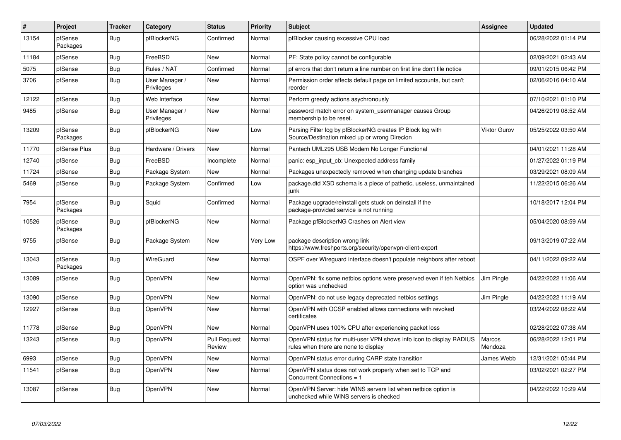| $\vert$ # | Project             | <b>Tracker</b> | Category                     | <b>Status</b>                 | <b>Priority</b> | <b>Subject</b>                                                                                               | <b>Assignee</b>   | <b>Updated</b>      |
|-----------|---------------------|----------------|------------------------------|-------------------------------|-----------------|--------------------------------------------------------------------------------------------------------------|-------------------|---------------------|
| 13154     | pfSense<br>Packages | Bug            | pfBlockerNG                  | Confirmed                     | Normal          | pfBlocker causing excessive CPU load                                                                         |                   | 06/28/2022 01:14 PM |
| 11184     | pfSense             | Bug            | FreeBSD                      | <b>New</b>                    | Normal          | PF: State policy cannot be configurable                                                                      |                   | 02/09/2021 02:43 AM |
| 5075      | pfSense             | <b>Bug</b>     | Rules / NAT                  | Confirmed                     | Normal          | pf errors that don't return a line number on first line don't file notice                                    |                   | 09/01/2015 06:42 PM |
| 3706      | pfSense             | Bug            | User Manager /<br>Privileges | New                           | Normal          | Permission order affects default page on limited accounts, but can't<br>reorder                              |                   | 02/06/2016 04:10 AM |
| 12122     | pfSense             | Bug            | Web Interface                | New                           | Normal          | Perform greedy actions asychronously                                                                         |                   | 07/10/2021 01:10 PM |
| 9485      | pfSense             | <b>Bug</b>     | User Manager /<br>Privileges | <b>New</b>                    | Normal          | password match error on system usermanager causes Group<br>membership to be reset.                           |                   | 04/26/2019 08:52 AM |
| 13209     | pfSense<br>Packages | Bug            | pfBlockerNG                  | New                           | Low             | Parsing Filter log by pfBlockerNG creates IP Block log with<br>Source/Destination mixed up or wrong Direcion | Viktor Gurov      | 05/25/2022 03:50 AM |
| 11770     | pfSense Plus        | <b>Bug</b>     | Hardware / Drivers           | <b>New</b>                    | Normal          | Pantech UML295 USB Modem No Longer Functional                                                                |                   | 04/01/2021 11:28 AM |
| 12740     | pfSense             | Bug            | FreeBSD                      | Incomplete                    | Normal          | panic: esp input cb: Unexpected address family                                                               |                   | 01/27/2022 01:19 PM |
| 11724     | pfSense             | <b>Bug</b>     | Package System               | New                           | Normal          | Packages unexpectedly removed when changing update branches                                                  |                   | 03/29/2021 08:09 AM |
| 5469      | pfSense             | <b>Bug</b>     | Package System               | Confirmed                     | Low             | package.dtd XSD schema is a piece of pathetic, useless, unmaintained<br>iunk                                 |                   | 11/22/2015 06:26 AM |
| 7954      | pfSense<br>Packages | <b>Bug</b>     | Squid                        | Confirmed                     | Normal          | Package upgrade/reinstall gets stuck on deinstall if the<br>package-provided service is not running          |                   | 10/18/2017 12:04 PM |
| 10526     | pfSense<br>Packages | <b>Bug</b>     | pfBlockerNG                  | New                           | Normal          | Package pfBlockerNG Crashes on Alert view                                                                    |                   | 05/04/2020 08:59 AM |
| 9755      | pfSense             | <b>Bug</b>     | Package System               | <b>New</b>                    | Very Low        | package description wrong link<br>https://www.freshports.org/security/openvpn-client-export                  |                   | 09/13/2019 07:22 AM |
| 13043     | pfSense<br>Packages | <b>Bug</b>     | WireGuard                    | <b>New</b>                    | Normal          | OSPF over Wirequard interface doesn't populate neighbors after reboot                                        |                   | 04/11/2022 09:22 AM |
| 13089     | pfSense             | <b>Bug</b>     | OpenVPN                      | <b>New</b>                    | Normal          | OpenVPN: fix some netbios options were preserved even if teh Netbios<br>option was unchecked                 | Jim Pingle        | 04/22/2022 11:06 AM |
| 13090     | pfSense             | Bug            | OpenVPN                      | <b>New</b>                    | Normal          | OpenVPN: do not use legacy deprecated netbios settings                                                       | Jim Pingle        | 04/22/2022 11:19 AM |
| 12927     | pfSense             | <b>Bug</b>     | OpenVPN                      | New                           | Normal          | OpenVPN with OCSP enabled allows connections with revoked<br>certificates                                    |                   | 03/24/2022 08:22 AM |
| 11778     | pfSense             | <b>Bug</b>     | OpenVPN                      | <b>New</b>                    | Normal          | OpenVPN uses 100% CPU after experiencing packet loss                                                         |                   | 02/28/2022 07:38 AM |
| 13243     | pfSense             | Bug            | OpenVPN                      | <b>Pull Request</b><br>Review | Normal          | OpenVPN status for multi-user VPN shows info icon to display RADIUS<br>rules when there are none to display  | Marcos<br>Mendoza | 06/28/2022 12:01 PM |
| 6993      | pfSense             | Bug            | OpenVPN                      | New                           | Normal          | OpenVPN status error during CARP state transition                                                            | James Webb        | 12/31/2021 05:44 PM |
| 11541     | pfSense             | <b>Bug</b>     | OpenVPN                      | New                           | Normal          | OpenVPN status does not work properly when set to TCP and<br>Concurrent Connections = 1                      |                   | 03/02/2021 02:27 PM |
| 13087     | pfSense             | <b>Bug</b>     | OpenVPN                      | <b>New</b>                    | Normal          | OpenVPN Server: hide WINS servers list when netbios option is<br>unchecked while WINS servers is checked     |                   | 04/22/2022 10:29 AM |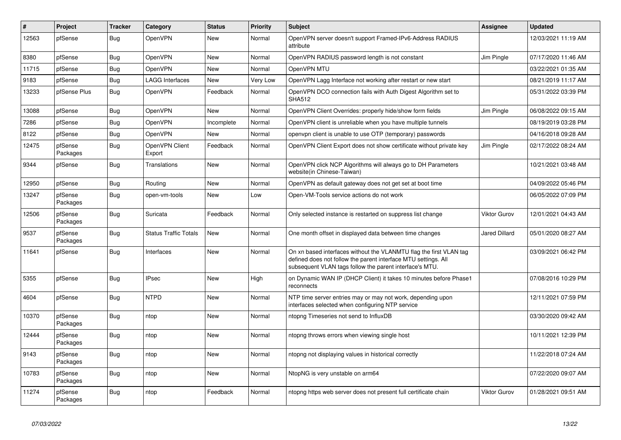| #     | Project             | <b>Tracker</b> | Category                     | <b>Status</b> | <b>Priority</b> | <b>Subject</b>                                                                                                                                                                                  | <b>Assignee</b>      | <b>Updated</b>      |
|-------|---------------------|----------------|------------------------------|---------------|-----------------|-------------------------------------------------------------------------------------------------------------------------------------------------------------------------------------------------|----------------------|---------------------|
| 12563 | pfSense             | <b>Bug</b>     | OpenVPN                      | <b>New</b>    | Normal          | OpenVPN server doesn't support Framed-IPv6-Address RADIUS<br>attribute                                                                                                                          |                      | 12/03/2021 11:19 AM |
| 8380  | pfSense             | Bug            | OpenVPN                      | <b>New</b>    | Normal          | OpenVPN RADIUS password length is not constant                                                                                                                                                  | Jim Pingle           | 07/17/2020 11:46 AM |
| 11715 | pfSense             | Bug            | OpenVPN                      | <b>New</b>    | Normal          | OpenVPN MTU                                                                                                                                                                                     |                      | 03/22/2021 01:35 AM |
| 9183  | pfSense             | <b>Bug</b>     | <b>LAGG Interfaces</b>       | New           | Very Low        | OpenVPN Lagg Interface not working after restart or new start                                                                                                                                   |                      | 08/21/2019 11:17 AM |
| 13233 | pfSense Plus        | <b>Bug</b>     | OpenVPN                      | Feedback      | Normal          | OpenVPN DCO connection fails with Auth Digest Algorithm set to<br><b>SHA512</b>                                                                                                                 |                      | 05/31/2022 03:39 PM |
| 13088 | pfSense             | Bug            | OpenVPN                      | <b>New</b>    | Normal          | OpenVPN Client Overrides: properly hide/show form fields                                                                                                                                        | Jim Pingle           | 06/08/2022 09:15 AM |
| 7286  | pfSense             | <b>Bug</b>     | OpenVPN                      | Incomplete    | Normal          | OpenVPN client is unreliable when you have multiple tunnels                                                                                                                                     |                      | 08/19/2019 03:28 PM |
| 8122  | pfSense             | <b>Bug</b>     | OpenVPN                      | New           | Normal          | openvpn client is unable to use OTP (temporary) passwords                                                                                                                                       |                      | 04/16/2018 09:28 AM |
| 12475 | pfSense<br>Packages | <b>Bug</b>     | OpenVPN Client<br>Export     | Feedback      | Normal          | OpenVPN Client Export does not show certificate without private key                                                                                                                             | Jim Pingle           | 02/17/2022 08:24 AM |
| 9344  | pfSense             | <b>Bug</b>     | Translations                 | <b>New</b>    | Normal          | OpenVPN click NCP Algorithms will always go to DH Parameters<br>website(in Chinese-Taiwan)                                                                                                      |                      | 10/21/2021 03:48 AM |
| 12950 | pfSense             | <b>Bug</b>     | Routing                      | <b>New</b>    | Normal          | OpenVPN as default gateway does not get set at boot time                                                                                                                                        |                      | 04/09/2022 05:46 PM |
| 13247 | pfSense<br>Packages | <b>Bug</b>     | open-vm-tools                | New           | Low             | Open-VM-Tools service actions do not work                                                                                                                                                       |                      | 06/05/2022 07:09 PM |
| 12506 | pfSense<br>Packages | Bug            | Suricata                     | Feedback      | Normal          | Only selected instance is restarted on suppress list change                                                                                                                                     | Viktor Gurov         | 12/01/2021 04:43 AM |
| 9537  | pfSense<br>Packages | Bug            | <b>Status Traffic Totals</b> | <b>New</b>    | Normal          | One month offset in displayed data between time changes                                                                                                                                         | <b>Jared Dillard</b> | 05/01/2020 08:27 AM |
| 11641 | pfSense             | <b>Bug</b>     | Interfaces                   | <b>New</b>    | Normal          | On xn based interfaces without the VLANMTU flag the first VLAN tag<br>defined does not follow the parent interface MTU settings. All<br>subsequent VLAN tags follow the parent interface's MTU. |                      | 03/09/2021 06:42 PM |
| 5355  | pfSense             | <b>Bug</b>     | <b>IPsec</b>                 | <b>New</b>    | High            | on Dynamic WAN IP (DHCP Client) it takes 10 minutes before Phase1<br>reconnects                                                                                                                 |                      | 07/08/2016 10:29 PM |
| 4604  | pfSense             | <b>Bug</b>     | <b>NTPD</b>                  | <b>New</b>    | Normal          | NTP time server entries may or may not work, depending upon<br>interfaces selected when configuring NTP service                                                                                 |                      | 12/11/2021 07:59 PM |
| 10370 | pfSense<br>Packages | Bug            | ntop                         | <b>New</b>    | Normal          | ntopng Timeseries not send to InfluxDB                                                                                                                                                          |                      | 03/30/2020 09:42 AM |
| 12444 | pfSense<br>Packages | Bug            | ntop                         | New           | Normal          | ntopng throws errors when viewing single host                                                                                                                                                   |                      | 10/11/2021 12:39 PM |
| 9143  | pfSense<br>Packages | Bug            | ntop                         | <b>New</b>    | Normal          | ntopng not displaying values in historical correctly                                                                                                                                            |                      | 11/22/2018 07:24 AM |
| 10783 | pfSense<br>Packages | <b>Bug</b>     | ntop                         | <b>New</b>    | Normal          | NtopNG is very unstable on arm64                                                                                                                                                                |                      | 07/22/2020 09:07 AM |
| 11274 | pfSense<br>Packages | Bug            | ntop                         | Feedback      | Normal          | ntopng https web server does not present full certificate chain                                                                                                                                 | <b>Viktor Gurov</b>  | 01/28/2021 09:51 AM |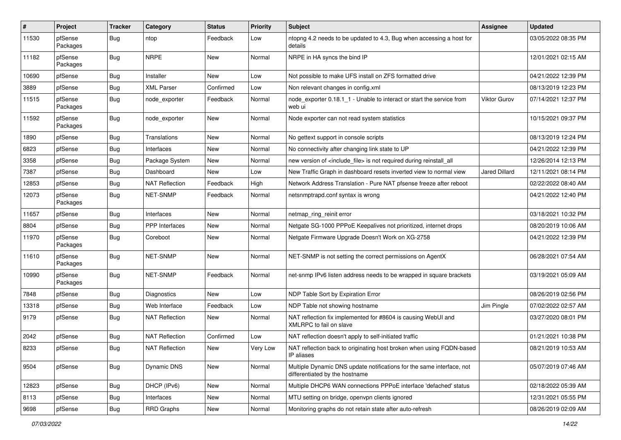| #     | Project             | <b>Tracker</b> | Category              | <b>Status</b> | <b>Priority</b> | <b>Subject</b>                                                                                          | <b>Assignee</b>      | <b>Updated</b>      |
|-------|---------------------|----------------|-----------------------|---------------|-----------------|---------------------------------------------------------------------------------------------------------|----------------------|---------------------|
| 11530 | pfSense<br>Packages | Bug            | ntop                  | Feedback      | Low             | ntopng 4.2 needs to be updated to 4.3, Bug when accessing a host for<br>details                         |                      | 03/05/2022 08:35 PM |
| 11182 | pfSense<br>Packages | Bug            | <b>NRPE</b>           | New           | Normal          | NRPE in HA syncs the bind IP                                                                            |                      | 12/01/2021 02:15 AM |
| 10690 | pfSense             | Bug            | Installer             | <b>New</b>    | Low             | Not possible to make UFS install on ZFS formatted drive                                                 |                      | 04/21/2022 12:39 PM |
| 3889  | pfSense             | <b>Bug</b>     | <b>XML Parser</b>     | Confirmed     | Low             | Non relevant changes in config.xml                                                                      |                      | 08/13/2019 12:23 PM |
| 11515 | pfSense<br>Packages | Bug            | node exporter         | Feedback      | Normal          | node_exporter 0.18.1_1 - Unable to interact or start the service from<br>web ui                         | Viktor Gurov         | 07/14/2021 12:37 PM |
| 11592 | pfSense<br>Packages | Bug            | node_exporter         | New           | Normal          | Node exporter can not read system statistics                                                            |                      | 10/15/2021 09:37 PM |
| 1890  | pfSense             | Bug            | Translations          | New           | Normal          | No gettext support in console scripts                                                                   |                      | 08/13/2019 12:24 PM |
| 6823  | pfSense             | Bug            | Interfaces            | New           | Normal          | No connectivity after changing link state to UP                                                         |                      | 04/21/2022 12:39 PM |
| 3358  | pfSense             | Bug            | Package System        | New           | Normal          | new version of <include_file> is not required during reinstall_all</include_file>                       |                      | 12/26/2014 12:13 PM |
| 7387  | pfSense             | <b>Bug</b>     | Dashboard             | New           | Low             | New Traffic Graph in dashboard resets inverted view to normal view                                      | <b>Jared Dillard</b> | 12/11/2021 08:14 PM |
| 12853 | pfSense             | Bug            | <b>NAT Reflection</b> | Feedback      | High            | Network Address Translation - Pure NAT pfsense freeze after reboot                                      |                      | 02/22/2022 08:40 AM |
| 12073 | pfSense<br>Packages | <b>Bug</b>     | NET-SNMP              | Feedback      | Normal          | netsnmptrapd.conf syntax is wrong                                                                       |                      | 04/21/2022 12:40 PM |
| 11657 | pfSense             | Bug            | Interfaces            | New           | Normal          | netmap_ring_reinit error                                                                                |                      | 03/18/2021 10:32 PM |
| 8804  | pfSense             | Bug            | <b>PPP</b> Interfaces | New           | Normal          | Netgate SG-1000 PPPoE Keepalives not prioritized, internet drops                                        |                      | 08/20/2019 10:06 AM |
| 11970 | pfSense<br>Packages | Bug            | Coreboot              | New           | Normal          | Netgate Firmware Upgrade Doesn't Work on XG-2758                                                        |                      | 04/21/2022 12:39 PM |
| 11610 | pfSense<br>Packages | Bug            | NET-SNMP              | New           | Normal          | NET-SNMP is not setting the correct permissions on AgentX                                               |                      | 06/28/2021 07:54 AM |
| 10990 | pfSense<br>Packages | <b>Bug</b>     | NET-SNMP              | Feedback      | Normal          | net-snmp IPv6 listen address needs to be wrapped in square brackets                                     |                      | 03/19/2021 05:09 AM |
| 7848  | pfSense             | Bug            | <b>Diagnostics</b>    | New           | Low             | NDP Table Sort by Expiration Error                                                                      |                      | 08/26/2019 02:56 PM |
| 13318 | pfSense             | <b>Bug</b>     | Web Interface         | Feedback      | Low             | NDP Table not showing hostname                                                                          | Jim Pingle           | 07/02/2022 02:57 AM |
| 9179  | pfSense             | Bug            | <b>NAT Reflection</b> | New           | Normal          | NAT reflection fix implemented for #8604 is causing WebUI and<br>XMLRPC to fail on slave                |                      | 03/27/2020 08:01 PM |
| 2042  | pfSense             | <b>Bug</b>     | <b>NAT Reflection</b> | Confirmed     | Low             | NAT reflection doesn't apply to self-initiated traffic                                                  |                      | 01/21/2021 10:38 PM |
| 8233  | pfSense             | Bug            | <b>NAT Reflection</b> | New           | Very Low        | NAT reflection back to originating host broken when using FQDN-based<br>IP aliases                      |                      | 08/21/2019 10:53 AM |
| 9504  | pfSense             | Bug            | <b>Dynamic DNS</b>    | New           | Normal          | Multiple Dynamic DNS update notifications for the same interface, not<br>differentiated by the hostname |                      | 05/07/2019 07:46 AM |
| 12823 | pfSense             | <b>Bug</b>     | DHCP (IPv6)           | New           | Normal          | Multiple DHCP6 WAN connections PPPoE interface 'defached' status                                        |                      | 02/18/2022 05:39 AM |
| 8113  | pfSense             | <b>Bug</b>     | Interfaces            | New           | Normal          | MTU setting on bridge, openvpn clients ignored                                                          |                      | 12/31/2021 05:55 PM |
| 9698  | pfSense             | Bug            | RRD Graphs            | New           | Normal          | Monitoring graphs do not retain state after auto-refresh                                                |                      | 08/26/2019 02:09 AM |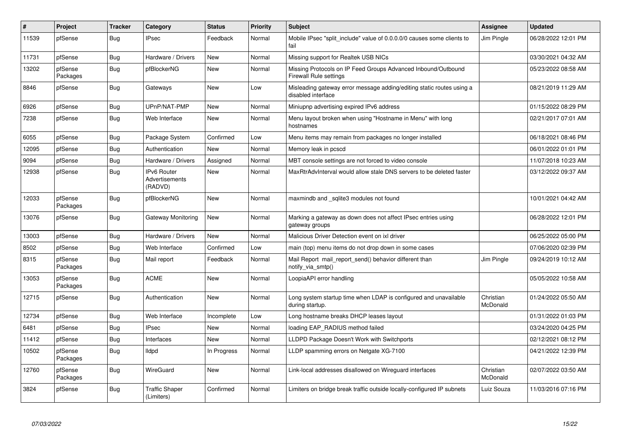| $\vert$ # | Project             | <b>Tracker</b> | Category                                        | <b>Status</b> | <b>Priority</b> | <b>Subject</b>                                                                              | <b>Assignee</b>       | <b>Updated</b>      |
|-----------|---------------------|----------------|-------------------------------------------------|---------------|-----------------|---------------------------------------------------------------------------------------------|-----------------------|---------------------|
| 11539     | pfSense             | Bug            | <b>IPsec</b>                                    | Feedback      | Normal          | Mobile IPsec "split include" value of 0.0.0.0/0 causes some clients to<br>fail              | Jim Pingle            | 06/28/2022 12:01 PM |
| 11731     | pfSense             | <b>Bug</b>     | Hardware / Drivers                              | New           | Normal          | Missing support for Realtek USB NICs                                                        |                       | 03/30/2021 04:32 AM |
| 13202     | pfSense<br>Packages | <b>Bug</b>     | pfBlockerNG                                     | New           | Normal          | Missing Protocols on IP Feed Groups Advanced Inbound/Outbound<br>Firewall Rule settings     |                       | 05/23/2022 08:58 AM |
| 8846      | pfSense             | <b>Bug</b>     | Gateways                                        | New           | Low             | Misleading gateway error message adding/editing static routes using a<br>disabled interface |                       | 08/21/2019 11:29 AM |
| 6926      | pfSense             | <b>Bug</b>     | UPnP/NAT-PMP                                    | New           | Normal          | Miniupnp advertising expired IPv6 address                                                   |                       | 01/15/2022 08:29 PM |
| 7238      | pfSense             | Bug            | Web Interface                                   | New           | Normal          | Menu layout broken when using "Hostname in Menu" with long<br>hostnames                     |                       | 02/21/2017 07:01 AM |
| 6055      | pfSense             | Bug            | Package System                                  | Confirmed     | Low             | Menu items may remain from packages no longer installed                                     |                       | 06/18/2021 08:46 PM |
| 12095     | pfSense             | <b>Bug</b>     | Authentication                                  | <b>New</b>    | Normal          | Memory leak in pcscd                                                                        |                       | 06/01/2022 01:01 PM |
| 9094      | pfSense             | <b>Bug</b>     | Hardware / Drivers                              | Assigned      | Normal          | MBT console settings are not forced to video console                                        |                       | 11/07/2018 10:23 AM |
| 12938     | pfSense             | <b>Bug</b>     | <b>IPv6 Router</b><br>Advertisements<br>(RADVD) | New           | Normal          | MaxRtrAdvInterval would allow stale DNS servers to be deleted faster                        |                       | 03/12/2022 09:37 AM |
| 12033     | pfSense<br>Packages | <b>Bug</b>     | pfBlockerNG                                     | <b>New</b>    | Normal          | maxmindb and _sqlite3 modules not found                                                     |                       | 10/01/2021 04:42 AM |
| 13076     | pfSense             | <b>Bug</b>     | Gateway Monitoring                              | <b>New</b>    | Normal          | Marking a gateway as down does not affect IPsec entries using<br>gateway groups             |                       | 06/28/2022 12:01 PM |
| 13003     | pfSense             | <b>Bug</b>     | Hardware / Drivers                              | <b>New</b>    | Normal          | Malicious Driver Detection event on ixl driver                                              |                       | 06/25/2022 05:00 PM |
| 8502      | pfSense             | Bug            | Web Interface                                   | Confirmed     | Low             | main (top) menu items do not drop down in some cases                                        |                       | 07/06/2020 02:39 PM |
| 8315      | pfSense<br>Packages | Bug            | Mail report                                     | Feedback      | Normal          | Mail Report mail report send() behavior different than<br>notify_via_smtp()                 | Jim Pingle            | 09/24/2019 10:12 AM |
| 13053     | pfSense<br>Packages | <b>Bug</b>     | <b>ACME</b>                                     | New           | Normal          | LoopiaAPI error handling                                                                    |                       | 05/05/2022 10:58 AM |
| 12715     | pfSense             | Bug            | Authentication                                  | New           | Normal          | Long system startup time when LDAP is configured and unavailable<br>during startup.         | Christian<br>McDonald | 01/24/2022 05:50 AM |
| 12734     | pfSense             | Bug            | Web Interface                                   | Incomplete    | Low             | Long hostname breaks DHCP leases layout                                                     |                       | 01/31/2022 01:03 PM |
| 6481      | pfSense             | <b>Bug</b>     | <b>IPsec</b>                                    | New           | Normal          | loading EAP RADIUS method failed                                                            |                       | 03/24/2020 04:25 PM |
| 11412     | pfSense             | Bug            | Interfaces                                      | New           | Normal          | LLDPD Package Doesn't Work with Switchports                                                 |                       | 02/12/2021 08:12 PM |
| 10502     | pfSense<br>Packages | <b>Bug</b>     | <b>Ildpd</b>                                    | In Progress   | Normal          | LLDP spamming errors on Netgate XG-7100                                                     |                       | 04/21/2022 12:39 PM |
| 12760     | pfSense<br>Packages | Bug            | WireGuard                                       | New           | Normal          | Link-local addresses disallowed on Wireguard interfaces                                     | Christian<br>McDonald | 02/07/2022 03:50 AM |
| 3824      | pfSense             | Bug            | <b>Traffic Shaper</b><br>(Limiters)             | Confirmed     | Normal          | Limiters on bridge break traffic outside locally-configured IP subnets                      | Luiz Souza            | 11/03/2016 07:16 PM |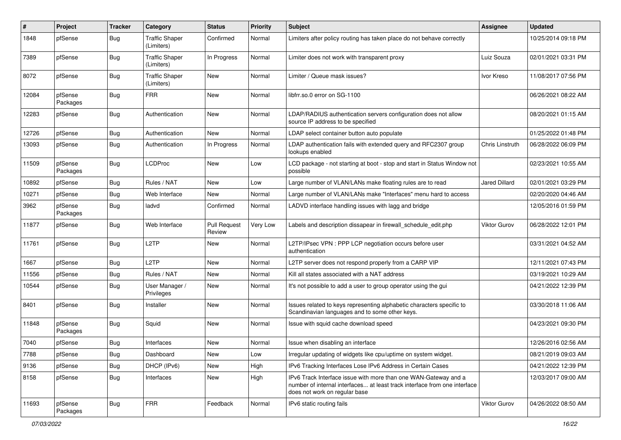| #     | Project             | <b>Tracker</b> | Category                            | <b>Status</b>                 | Priority | Subject                                                                                                                                                                       | Assignee             | <b>Updated</b>      |
|-------|---------------------|----------------|-------------------------------------|-------------------------------|----------|-------------------------------------------------------------------------------------------------------------------------------------------------------------------------------|----------------------|---------------------|
| 1848  | pfSense             | Bug            | <b>Traffic Shaper</b><br>(Limiters) | Confirmed                     | Normal   | Limiters after policy routing has taken place do not behave correctly                                                                                                         |                      | 10/25/2014 09:18 PM |
| 7389  | pfSense             | Bug            | <b>Traffic Shaper</b><br>(Limiters) | In Progress                   | Normal   | Limiter does not work with transparent proxy                                                                                                                                  | Luiz Souza           | 02/01/2021 03:31 PM |
| 8072  | pfSense             | <b>Bug</b>     | <b>Traffic Shaper</b><br>(Limiters) | New                           | Normal   | Limiter / Queue mask issues?                                                                                                                                                  | Ivor Kreso           | 11/08/2017 07:56 PM |
| 12084 | pfSense<br>Packages | <b>Bug</b>     | <b>FRR</b>                          | <b>New</b>                    | Normal   | libfrr.so.0 error on SG-1100                                                                                                                                                  |                      | 06/26/2021 08:22 AM |
| 12283 | pfSense             | Bug            | Authentication                      | New                           | Normal   | LDAP/RADIUS authentication servers configuration does not allow<br>source IP address to be specified                                                                          |                      | 08/20/2021 01:15 AM |
| 12726 | pfSense             | <b>Bug</b>     | Authentication                      | New                           | Normal   | LDAP select container button auto populate                                                                                                                                    |                      | 01/25/2022 01:48 PM |
| 13093 | pfSense             | Bug            | Authentication                      | In Progress                   | Normal   | LDAP authentication fails with extended query and RFC2307 group<br>lookups enabled                                                                                            | Chris Linstruth      | 06/28/2022 06:09 PM |
| 11509 | pfSense<br>Packages | Bug            | <b>LCDProc</b>                      | <b>New</b>                    | Low      | LCD package - not starting at boot - stop and start in Status Window not<br>possible                                                                                          |                      | 02/23/2021 10:55 AM |
| 10892 | pfSense             | <b>Bug</b>     | Rules / NAT                         | New                           | Low      | Large number of VLAN/LANs make floating rules are to read                                                                                                                     | <b>Jared Dillard</b> | 02/01/2021 03:29 PM |
| 10271 | pfSense             | <b>Bug</b>     | Web Interface                       | <b>New</b>                    | Normal   | Large number of VLAN/LANs make "Interfaces" menu hard to access                                                                                                               |                      | 02/20/2020 04:46 AM |
| 3962  | pfSense<br>Packages | <b>Bug</b>     | ladvd                               | Confirmed                     | Normal   | LADVD interface handling issues with lagg and bridge                                                                                                                          |                      | 12/05/2016 01:59 PM |
| 11877 | pfSense             | Bug            | Web Interface                       | <b>Pull Request</b><br>Review | Very Low | Labels and description dissapear in firewall schedule edit.php                                                                                                                | Viktor Gurov         | 06/28/2022 12:01 PM |
| 11761 | pfSense             | <b>Bug</b>     | L <sub>2</sub> TP                   | New                           | Normal   | L2TP/IPsec VPN : PPP LCP negotiation occurs before user<br>authentication                                                                                                     |                      | 03/31/2021 04:52 AM |
| 1667  | pfSense             | <b>Bug</b>     | L <sub>2</sub> TP                   | New                           | Normal   | L2TP server does not respond properly from a CARP VIP                                                                                                                         |                      | 12/11/2021 07:43 PM |
| 11556 | pfSense             | Bug            | Rules / NAT                         | New                           | Normal   | Kill all states associated with a NAT address                                                                                                                                 |                      | 03/19/2021 10:29 AM |
| 10544 | pfSense             | <b>Bug</b>     | User Manager /<br>Privileges        | New                           | Normal   | It's not possible to add a user to group operator using the gui                                                                                                               |                      | 04/21/2022 12:39 PM |
| 8401  | pfSense             | Bug            | Installer                           | New                           | Normal   | Issues related to keys representing alphabetic characters specific to<br>Scandinavian languages and to some other keys.                                                       |                      | 03/30/2018 11:06 AM |
| 11848 | pfSense<br>Packages | Bug            | Squid                               | <b>New</b>                    | Normal   | Issue with squid cache download speed                                                                                                                                         |                      | 04/23/2021 09:30 PM |
| 7040  | pfSense             | <b>Bug</b>     | Interfaces                          | <b>New</b>                    | Normal   | Issue when disabling an interface                                                                                                                                             |                      | 12/26/2016 02:56 AM |
| 7788  | pfSense             | <b>Bug</b>     | Dashboard                           | New                           | Low      | Irregular updating of widgets like cpu/uptime on system widget.                                                                                                               |                      | 08/21/2019 09:03 AM |
| 9136  | pfSense             | <b>Bug</b>     | DHCP (IPv6)                         | New                           | High     | IPv6 Tracking Interfaces Lose IPv6 Address in Certain Cases                                                                                                                   |                      | 04/21/2022 12:39 PM |
| 8158  | pfSense             | Bug            | Interfaces                          | New                           | High     | IPv6 Track Interface issue with more than one WAN-Gateway and a<br>number of internal interfaces at least track interface from one interface<br>does not work on regular base |                      | 12/03/2017 09:00 AM |
| 11693 | pfSense<br>Packages | Bug            | <b>FRR</b>                          | Feedback                      | Normal   | IPv6 static routing fails                                                                                                                                                     | Viktor Gurov         | 04/26/2022 08:50 AM |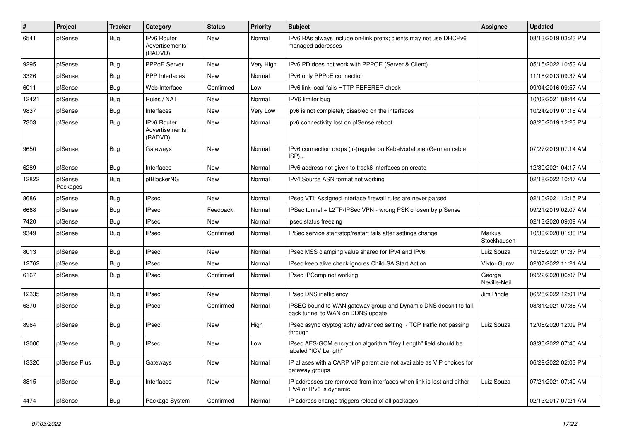| #     | Project             | <b>Tracker</b> | Category                                 | <b>Status</b> | <b>Priority</b> | <b>Subject</b>                                                                                        | <b>Assignee</b>        | <b>Updated</b>      |
|-------|---------------------|----------------|------------------------------------------|---------------|-----------------|-------------------------------------------------------------------------------------------------------|------------------------|---------------------|
| 6541  | pfSense             | <b>Bug</b>     | IPv6 Router<br>Advertisements<br>(RADVD) | New           | Normal          | IPv6 RAs always include on-link prefix; clients may not use DHCPv6<br>managed addresses               |                        | 08/13/2019 03:23 PM |
| 9295  | pfSense             | <b>Bug</b>     | PPPoE Server                             | <b>New</b>    | Very High       | IPv6 PD does not work with PPPOE (Server & Client)                                                    |                        | 05/15/2022 10:53 AM |
| 3326  | pfSense             | <b>Bug</b>     | <b>PPP</b> Interfaces                    | <b>New</b>    | Normal          | IPv6 only PPPoE connection                                                                            |                        | 11/18/2013 09:37 AM |
| 6011  | pfSense             | <b>Bug</b>     | Web Interface                            | Confirmed     | Low             | IPv6 link local fails HTTP REFERER check                                                              |                        | 09/04/2016 09:57 AM |
| 12421 | pfSense             | <b>Bug</b>     | Rules / NAT                              | New           | Normal          | IPV6 limiter bug                                                                                      |                        | 10/02/2021 08:44 AM |
| 9837  | pfSense             | Bug            | Interfaces                               | <b>New</b>    | Very Low        | ipv6 is not completely disabled on the interfaces                                                     |                        | 10/24/2019 01:16 AM |
| 7303  | pfSense             | <b>Bug</b>     | IPv6 Router<br>Advertisements<br>(RADVD) | New           | Normal          | ipv6 connectivity lost on pfSense reboot                                                              |                        | 08/20/2019 12:23 PM |
| 9650  | pfSense             | <b>Bug</b>     | Gateways                                 | New           | Normal          | IPv6 connection drops (ir-)regular on Kabelvodafone (German cable<br>ISP)                             |                        | 07/27/2019 07:14 AM |
| 6289  | pfSense             | Bug            | Interfaces                               | New           | Normal          | IPv6 address not given to track6 interfaces on create                                                 |                        | 12/30/2021 04:17 AM |
| 12822 | pfSense<br>Packages | <b>Bug</b>     | pfBlockerNG                              | New           | Normal          | IPv4 Source ASN format not working                                                                    |                        | 02/18/2022 10:47 AM |
| 8686  | pfSense             | Bug            | <b>IPsec</b>                             | New           | Normal          | IPsec VTI: Assigned interface firewall rules are never parsed                                         |                        | 02/10/2021 12:15 PM |
| 6668  | pfSense             | <b>Bug</b>     | <b>IPsec</b>                             | Feedback      | Normal          | IPSec tunnel + L2TP/IPSec VPN - wrong PSK chosen by pfSense                                           |                        | 09/21/2019 02:07 AM |
| 7420  | pfSense             | <b>Bug</b>     | <b>IPsec</b>                             | New           | Normal          | ipsec status freezing                                                                                 |                        | 02/13/2020 09:09 AM |
| 9349  | pfSense             | <b>Bug</b>     | <b>IPsec</b>                             | Confirmed     | Normal          | IPSec service start/stop/restart fails after settings change                                          | Markus<br>Stockhausen  | 10/30/2020 01:33 PM |
| 8013  | pfSense             | Bug            | <b>IPsec</b>                             | New           | Normal          | IPsec MSS clamping value shared for IPv4 and IPv6                                                     | Luiz Souza             | 10/28/2021 01:37 PM |
| 12762 | pfSense             | <b>Bug</b>     | <b>IPsec</b>                             | New           | Normal          | IPsec keep alive check ignores Child SA Start Action                                                  | <b>Viktor Gurov</b>    | 02/07/2022 11:21 AM |
| 6167  | pfSense             | Bug            | <b>IPsec</b>                             | Confirmed     | Normal          | IPsec IPComp not working                                                                              | George<br>Neville-Neil | 09/22/2020 06:07 PM |
| 12335 | pfSense             | Bug            | <b>IPsec</b>                             | New           | Normal          | IPsec DNS inefficiency                                                                                | Jim Pingle             | 06/28/2022 12:01 PM |
| 6370  | pfSense             | <b>Bug</b>     | <b>IPsec</b>                             | Confirmed     | Normal          | IPSEC bound to WAN gateway group and Dynamic DNS doesn't to fail<br>back tunnel to WAN on DDNS update |                        | 08/31/2021 07:38 AM |
| 8964  | pfSense             | Bug            | <b>IPsec</b>                             | New           | High            | IPsec async cryptography advanced setting - TCP traffic not passing<br>through                        | Luiz Souza             | 12/08/2020 12:09 PM |
| 13000 | pfSense             | Bug            | <b>IPsec</b>                             | New           | Low             | IPsec AES-GCM encryption algorithm "Key Length" field should be<br>labeled "ICV Length"               |                        | 03/30/2022 07:40 AM |
| 13320 | pfSense Plus        | <b>Bug</b>     | Gateways                                 | New           | Normal          | IP aliases with a CARP VIP parent are not available as VIP choices for<br>gateway groups              |                        | 06/29/2022 02:03 PM |
| 8815  | pfSense             | Bug            | Interfaces                               | New           | Normal          | IP addresses are removed from interfaces when link is lost and either<br>IPv4 or IPv6 is dynamic      | Luiz Souza             | 07/21/2021 07:49 AM |
| 4474  | pfSense             | <b>Bug</b>     | Package System                           | Confirmed     | Normal          | IP address change triggers reload of all packages                                                     |                        | 02/13/2017 07:21 AM |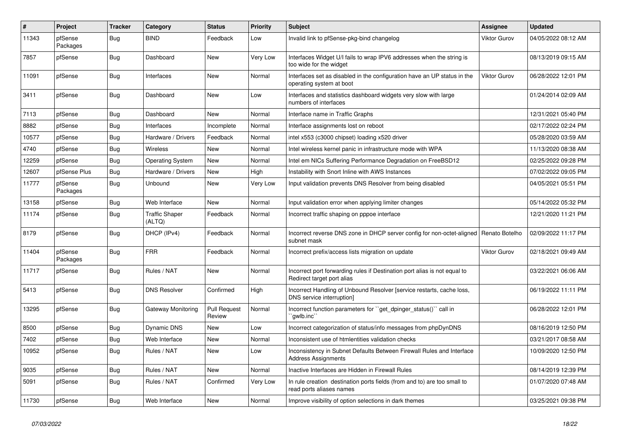| $\vert$ # | <b>Project</b>      | <b>Tracker</b> | Category                        | <b>Status</b>                 | <b>Priority</b> | <b>Subject</b>                                                                                          | <b>Assignee</b>     | <b>Updated</b>      |
|-----------|---------------------|----------------|---------------------------------|-------------------------------|-----------------|---------------------------------------------------------------------------------------------------------|---------------------|---------------------|
| 11343     | pfSense<br>Packages | Bug            | <b>BIND</b>                     | Feedback                      | Low             | Invalid link to pfSense-pkg-bind changelog                                                              | Viktor Gurov        | 04/05/2022 08:12 AM |
| 7857      | pfSense             | Bug            | Dashboard                       | <b>New</b>                    | Very Low        | Interfaces Widget U/I fails to wrap IPV6 addresses when the string is<br>too wide for the widget        |                     | 08/13/2019 09:15 AM |
| 11091     | pfSense             | Bug            | Interfaces                      | <b>New</b>                    | Normal          | Interfaces set as disabled in the configuration have an UP status in the<br>operating system at boot    | <b>Viktor Gurov</b> | 06/28/2022 12:01 PM |
| 3411      | pfSense             | Bug            | Dashboard                       | New                           | Low             | Interfaces and statistics dashboard widgets very slow with large<br>numbers of interfaces               |                     | 01/24/2014 02:09 AM |
| 7113      | pfSense             | Bug            | Dashboard                       | <b>New</b>                    | Normal          | Interface name in Traffic Graphs                                                                        |                     | 12/31/2021 05:40 PM |
| 8882      | pfSense             | <b>Bug</b>     | Interfaces                      | Incomplete                    | Normal          | Interface assignments lost on reboot                                                                    |                     | 02/17/2022 02:24 PM |
| 10577     | pfSense             | Bug            | Hardware / Drivers              | Feedback                      | Normal          | intel x553 (c3000 chipset) loading x520 driver                                                          |                     | 05/28/2020 03:59 AM |
| 4740      | pfSense             | <b>Bug</b>     | Wireless                        | <b>New</b>                    | Normal          | Intel wireless kernel panic in infrastructure mode with WPA                                             |                     | 11/13/2020 08:38 AM |
| 12259     | pfSense             | Bug            | <b>Operating System</b>         | New                           | Normal          | Intel em NICs Suffering Performance Degradation on FreeBSD12                                            |                     | 02/25/2022 09:28 PM |
| 12607     | pfSense Plus        | <b>Bug</b>     | Hardware / Drivers              | New                           | High            | Instability with Snort Inline with AWS Instances                                                        |                     | 07/02/2022 09:05 PM |
| 11777     | pfSense<br>Packages | <b>Bug</b>     | <b>Unbound</b>                  | <b>New</b>                    | Very Low        | Input validation prevents DNS Resolver from being disabled                                              |                     | 04/05/2021 05:51 PM |
| 13158     | pfSense             | Bug            | Web Interface                   | New                           | Normal          | Input validation error when applying limiter changes                                                    |                     | 05/14/2022 05:32 PM |
| 11174     | pfSense             | <b>Bug</b>     | <b>Traffic Shaper</b><br>(ALTQ) | Feedback                      | Normal          | Incorrect traffic shaping on pppoe interface                                                            |                     | 12/21/2020 11:21 PM |
| 8179      | pfSense             | <b>Bug</b>     | DHCP (IPv4)                     | Feedback                      | Normal          | Incorrect reverse DNS zone in DHCP server config for non-octet-aligned   Renato Botelho<br>subnet mask  |                     | 02/09/2022 11:17 PM |
| 11404     | pfSense<br>Packages | <b>Bug</b>     | <b>FRR</b>                      | Feedback                      | Normal          | Incorrect prefix/access lists migration on update                                                       | <b>Viktor Gurov</b> | 02/18/2021 09:49 AM |
| 11717     | pfSense             | <b>Bug</b>     | Rules / NAT                     | New                           | Normal          | Incorrect port forwarding rules if Destination port alias is not equal to<br>Redirect target port alias |                     | 03/22/2021 06:06 AM |
| 5413      | pfSense             | Bug            | <b>DNS Resolver</b>             | Confirmed                     | High            | Incorrect Handling of Unbound Resolver [service restarts, cache loss,<br>DNS service interruption]      |                     | 06/19/2022 11:11 PM |
| 13295     | pfSense             | <b>Bug</b>     | Gateway Monitoring              | <b>Pull Request</b><br>Review | Normal          | Incorrect function parameters for "get_dpinger_status()" call in<br>`qwlb.inc``                         |                     | 06/28/2022 12:01 PM |
| 8500      | pfSense             | Bug            | <b>Dynamic DNS</b>              | <b>New</b>                    | Low             | Incorrect categorization of status/info messages from phpDynDNS                                         |                     | 08/16/2019 12:50 PM |
| 7402      | pfSense             | <b>Bug</b>     | Web Interface                   | New                           | Normal          | Inconsistent use of htmlentities validation checks                                                      |                     | 03/21/2017 08:58 AM |
| 10952     | pfSense             | Bug            | Rules / NAT                     | New                           | Low             | Inconsistency in Subnet Defaults Between Firewall Rules and Interface<br><b>Address Assignments</b>     |                     | 10/09/2020 12:50 PM |
| 9035      | pfSense             | Bug            | Rules / NAT                     | <b>New</b>                    | Normal          | Inactive Interfaces are Hidden in Firewall Rules                                                        |                     | 08/14/2019 12:39 PM |
| 5091      | pfSense             | <b>Bug</b>     | Rules / NAT                     | Confirmed                     | Very Low        | In rule creation destination ports fields (from and to) are too small to<br>read ports aliases names    |                     | 01/07/2020 07:48 AM |
| 11730     | pfSense             | <b>Bug</b>     | Web Interface                   | <b>New</b>                    | Normal          | Improve visibility of option selections in dark themes                                                  |                     | 03/25/2021 09:38 PM |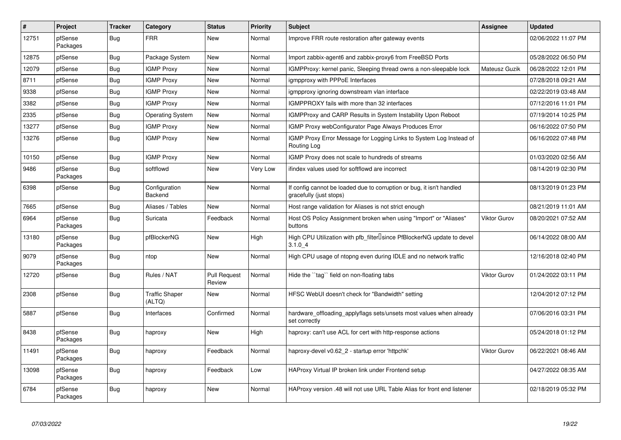| $\vert$ # | Project             | <b>Tracker</b> | Category                        | <b>Status</b>                 | <b>Priority</b> | <b>Subject</b>                                                                                   | <b>Assignee</b>      | <b>Updated</b>      |
|-----------|---------------------|----------------|---------------------------------|-------------------------------|-----------------|--------------------------------------------------------------------------------------------------|----------------------|---------------------|
| 12751     | pfSense<br>Packages | Bug            | <b>FRR</b>                      | New                           | Normal          | Improve FRR route restoration after gateway events                                               |                      | 02/06/2022 11:07 PM |
| 12875     | pfSense             | <b>Bug</b>     | Package System                  | New                           | Normal          | Import zabbix-agent6 and zabbix-proxy6 from FreeBSD Ports                                        |                      | 05/28/2022 06:50 PM |
| 12079     | pfSense             | <b>Bug</b>     | <b>IGMP Proxy</b>               | New                           | Normal          | IGMPProxy: kernel panic, Sleeping thread owns a non-sleepable lock                               | <b>Mateusz Guzik</b> | 06/28/2022 12:01 PM |
| 8711      | pfSense             | Bug            | <b>IGMP Proxy</b>               | New                           | Normal          | igmpproxy with PPPoE Interfaces                                                                  |                      | 07/28/2018 09:21 AM |
| 9338      | pfSense             | Bug            | <b>IGMP Proxy</b>               | New                           | Normal          | igmpproxy ignoring downstream vlan interface                                                     |                      | 02/22/2019 03:48 AM |
| 3382      | pfSense             | Bug            | <b>IGMP Proxy</b>               | <b>New</b>                    | Normal          | IGMPPROXY fails with more than 32 interfaces                                                     |                      | 07/12/2016 11:01 PM |
| 2335      | pfSense             | <b>Bug</b>     | <b>Operating System</b>         | New                           | Normal          | IGMPProxy and CARP Results in System Instability Upon Reboot                                     |                      | 07/19/2014 10:25 PM |
| 13277     | pfSense             | <b>Bug</b>     | <b>IGMP Proxy</b>               | New                           | Normal          | IGMP Proxy webConfigurator Page Always Produces Error                                            |                      | 06/16/2022 07:50 PM |
| 13276     | pfSense             | Bug            | <b>IGMP Proxy</b>               | New                           | Normal          | IGMP Proxy Error Message for Logging Links to System Log Instead of<br>Routing Log               |                      | 06/16/2022 07:48 PM |
| 10150     | pfSense             | <b>Bug</b>     | <b>IGMP Proxy</b>               | <b>New</b>                    | Normal          | IGMP Proxy does not scale to hundreds of streams                                                 |                      | 01/03/2020 02:56 AM |
| 9486      | pfSense<br>Packages | Bug            | softflowd                       | New                           | Very Low        | ifindex values used for softflowd are incorrect                                                  |                      | 08/14/2019 02:30 PM |
| 6398      | pfSense             | <b>Bug</b>     | Configuration<br>Backend        | <b>New</b>                    | Normal          | If config cannot be loaded due to corruption or bug, it isn't handled<br>gracefully (just stops) |                      | 08/13/2019 01:23 PM |
| 7665      | pfSense             | <b>Bug</b>     | Aliases / Tables                | New                           | Normal          | Host range validation for Aliases is not strict enough                                           |                      | 08/21/2019 11:01 AM |
| 6964      | pfSense<br>Packages | <b>Bug</b>     | Suricata                        | Feedback                      | Normal          | Host OS Policy Assignment broken when using "Import" or "Aliases"<br>buttons                     | Viktor Gurov         | 08/20/2021 07:52 AM |
| 13180     | pfSense<br>Packages | <b>Bug</b>     | pfBlockerNG                     | New                           | High            | High CPU Utilization with pfb_filterLsince PfBlockerNG update to devel<br>3.1.04                 |                      | 06/14/2022 08:00 AM |
| 9079      | pfSense<br>Packages | <b>Bug</b>     | ntop                            | New                           | Normal          | High CPU usage of ntopng even during IDLE and no network traffic                                 |                      | 12/16/2018 02:40 PM |
| 12720     | pfSense             | Bug            | Rules / NAT                     | <b>Pull Request</b><br>Review | Normal          | Hide the "tag" field on non-floating tabs                                                        | <b>Viktor Gurov</b>  | 01/24/2022 03:11 PM |
| 2308      | pfSense             | Bug            | <b>Traffic Shaper</b><br>(ALTQ) | New                           | Normal          | HFSC WebUI doesn't check for "Bandwidth" setting                                                 |                      | 12/04/2012 07:12 PM |
| 5887      | pfSense             | Bug            | Interfaces                      | Confirmed                     | Normal          | hardware offloading applyflags sets/unsets most values when already<br>set correctly             |                      | 07/06/2016 03:31 PM |
| 8438      | pfSense<br>Packages | Bug            | haproxy                         | <b>New</b>                    | High            | haproxy: can't use ACL for cert with http-response actions                                       |                      | 05/24/2018 01:12 PM |
| 11491     | pfSense<br>Packages | <b>Bug</b>     | haproxy                         | Feedback                      | Normal          | haproxy-devel v0.62 2 - startup error 'httpchk'                                                  | Viktor Gurov         | 06/22/2021 08:46 AM |
| 13098     | pfSense<br>Packages | Bug            | haproxy                         | Feedback                      | Low             | HAProxy Virtual IP broken link under Frontend setup                                              |                      | 04/27/2022 08:35 AM |
| 6784      | pfSense<br>Packages | Bug            | haproxy                         | New                           | Normal          | HAProxy version .48 will not use URL Table Alias for front end listener                          |                      | 02/18/2019 05:32 PM |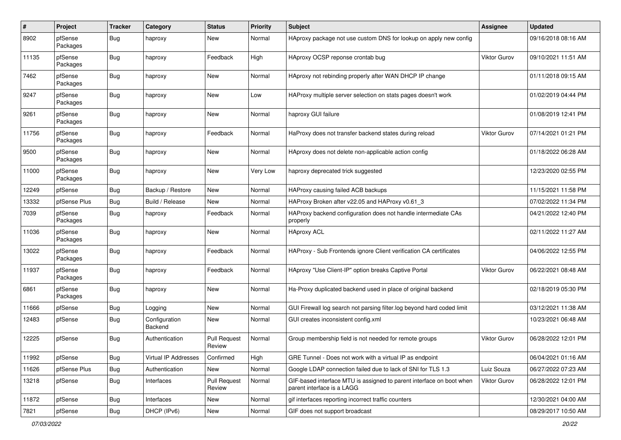| $\pmb{\#}$ | Project             | <b>Tracker</b> | Category                 | <b>Status</b>                 | <b>Priority</b> | <b>Subject</b>                                                                                     | <b>Assignee</b>     | <b>Updated</b>      |
|------------|---------------------|----------------|--------------------------|-------------------------------|-----------------|----------------------------------------------------------------------------------------------------|---------------------|---------------------|
| 8902       | pfSense<br>Packages | <b>Bug</b>     | haproxy                  | New                           | Normal          | HAproxy package not use custom DNS for lookup on apply new config                                  |                     | 09/16/2018 08:16 AM |
| 11135      | pfSense<br>Packages | Bug            | haproxy                  | Feedback                      | High            | HAproxy OCSP reponse crontab bug                                                                   | <b>Viktor Gurov</b> | 09/10/2021 11:51 AM |
| 7462       | pfSense<br>Packages | <b>Bug</b>     | haproxy                  | <b>New</b>                    | Normal          | HAproxy not rebinding properly after WAN DHCP IP change                                            |                     | 01/11/2018 09:15 AM |
| 9247       | pfSense<br>Packages | Bug            | haproxy                  | New                           | Low             | HAProxy multiple server selection on stats pages doesn't work                                      |                     | 01/02/2019 04:44 PM |
| 9261       | pfSense<br>Packages | <b>Bug</b>     | haproxy                  | <b>New</b>                    | Normal          | haproxy GUI failure                                                                                |                     | 01/08/2019 12:41 PM |
| 11756      | pfSense<br>Packages | <b>Bug</b>     | haproxy                  | Feedback                      | Normal          | HaProxy does not transfer backend states during reload                                             | Viktor Gurov        | 07/14/2021 01:21 PM |
| 9500       | pfSense<br>Packages | Bug            | haproxy                  | New                           | Normal          | HAproxy does not delete non-applicable action config                                               |                     | 01/18/2022 06:28 AM |
| 11000      | pfSense<br>Packages | Bug            | haproxy                  | New                           | Very Low        | haproxy deprecated trick suggested                                                                 |                     | 12/23/2020 02:55 PM |
| 12249      | pfSense             | Bug            | Backup / Restore         | New                           | Normal          | HAProxy causing failed ACB backups                                                                 |                     | 11/15/2021 11:58 PM |
| 13332      | pfSense Plus        | Bug            | Build / Release          | New                           | Normal          | HAProxy Broken after v22.05 and HAProxy v0.61 3                                                    |                     | 07/02/2022 11:34 PM |
| 7039       | pfSense<br>Packages | Bug            | haproxy                  | Feedback                      | Normal          | HAProxy backend configuration does not handle intermediate CAs<br>properly                         |                     | 04/21/2022 12:40 PM |
| 11036      | pfSense<br>Packages | <b>Bug</b>     | haproxy                  | New                           | Normal          | <b>HAproxy ACL</b>                                                                                 |                     | 02/11/2022 11:27 AM |
| 13022      | pfSense<br>Packages | Bug            | haproxy                  | Feedback                      | Normal          | HAProxy - Sub Frontends ignore Client verification CA certificates                                 |                     | 04/06/2022 12:55 PM |
| 11937      | pfSense<br>Packages | Bug            | haproxy                  | Feedback                      | Normal          | HAproxy "Use Client-IP" option breaks Captive Portal                                               | Viktor Gurov        | 06/22/2021 08:48 AM |
| 6861       | pfSense<br>Packages | Bug            | haproxy                  | <b>New</b>                    | Normal          | Ha-Proxy duplicated backend used in place of original backend                                      |                     | 02/18/2019 05:30 PM |
| 11666      | pfSense             | Bug            | Logging                  | <b>New</b>                    | Normal          | GUI Firewall log search not parsing filter.log beyond hard coded limit                             |                     | 03/12/2021 11:38 AM |
| 12483      | pfSense             | Bug            | Configuration<br>Backend | New                           | Normal          | GUI creates inconsistent config.xml                                                                |                     | 10/23/2021 06:48 AM |
| 12225      | pfSense             | Bug            | Authentication           | <b>Pull Request</b><br>Review | Normal          | Group membership field is not needed for remote groups                                             | <b>Viktor Gurov</b> | 06/28/2022 12:01 PM |
| 11992      | pfSense             | <b>Bug</b>     | Virtual IP Addresses     | Confirmed                     | High            | GRE Tunnel - Does not work with a virtual IP as endpoint                                           |                     | 06/04/2021 01:16 AM |
| 11626      | pfSense Plus        | <b>Bug</b>     | Authentication           | New                           | Normal          | Google LDAP connection failed due to lack of SNI for TLS 1.3                                       | Luiz Souza          | 06/27/2022 07:23 AM |
| 13218      | pfSense             | <b>Bug</b>     | Interfaces               | <b>Pull Request</b><br>Review | Normal          | GIF-based interface MTU is assigned to parent interface on boot when<br>parent interface is a LAGG | Viktor Gurov        | 06/28/2022 12:01 PM |
| 11872      | pfSense             | Bug            | Interfaces               | New                           | Normal          | gif interfaces reporting incorrect traffic counters                                                |                     | 12/30/2021 04:00 AM |
| 7821       | pfSense             | <b>Bug</b>     | DHCP (IPv6)              | New                           | Normal          | GIF does not support broadcast                                                                     |                     | 08/29/2017 10:50 AM |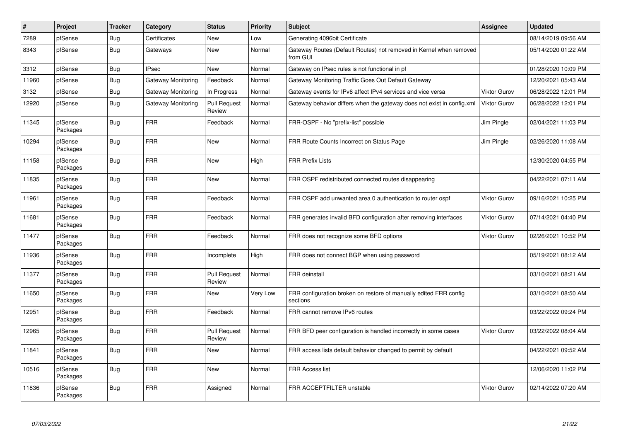| $\vert$ # | Project             | <b>Tracker</b> | Category           | <b>Status</b>                 | <b>Priority</b> | <b>Subject</b>                                                                 | <b>Assignee</b>     | <b>Updated</b>      |
|-----------|---------------------|----------------|--------------------|-------------------------------|-----------------|--------------------------------------------------------------------------------|---------------------|---------------------|
| 7289      | pfSense             | <b>Bug</b>     | Certificates       | New                           | Low             | Generating 4096bit Certificate                                                 |                     | 08/14/2019 09:56 AM |
| 8343      | pfSense             | Bug            | Gateways           | New                           | Normal          | Gateway Routes (Default Routes) not removed in Kernel when removed<br>from GUI |                     | 05/14/2020 01:22 AM |
| 3312      | pfSense             | Bug            | <b>IPsec</b>       | <b>New</b>                    | Normal          | Gateway on IPsec rules is not functional in pf                                 |                     | 01/28/2020 10:09 PM |
| 11960     | pfSense             | <b>Bug</b>     | Gateway Monitoring | Feedback                      | Normal          | Gateway Monitoring Traffic Goes Out Default Gateway                            |                     | 12/20/2021 05:43 AM |
| 3132      | pfSense             | <b>Bug</b>     | Gateway Monitoring | In Progress                   | Normal          | Gateway events for IPv6 affect IPv4 services and vice versa                    | <b>Viktor Gurov</b> | 06/28/2022 12:01 PM |
| 12920     | pfSense             | Bug            | Gateway Monitoring | Pull Request<br>Review        | Normal          | Gateway behavior differs when the gateway does not exist in config.xml         | <b>Viktor Gurov</b> | 06/28/2022 12:01 PM |
| 11345     | pfSense<br>Packages | Bug            | <b>FRR</b>         | Feedback                      | Normal          | FRR-OSPF - No "prefix-list" possible                                           | Jim Pingle          | 02/04/2021 11:03 PM |
| 10294     | pfSense<br>Packages | Bug            | <b>FRR</b>         | <b>New</b>                    | Normal          | FRR Route Counts Incorrect on Status Page                                      | Jim Pingle          | 02/26/2020 11:08 AM |
| 11158     | pfSense<br>Packages | <b>Bug</b>     | <b>FRR</b>         | <b>New</b>                    | High            | <b>FRR Prefix Lists</b>                                                        |                     | 12/30/2020 04:55 PM |
| 11835     | pfSense<br>Packages | <b>Bug</b>     | <b>FRR</b>         | New                           | Normal          | FRR OSPF redistributed connected routes disappearing                           |                     | 04/22/2021 07:11 AM |
| 11961     | pfSense<br>Packages | Bug            | <b>FRR</b>         | Feedback                      | Normal          | FRR OSPF add unwanted area 0 authentication to router ospf                     | Viktor Gurov        | 09/16/2021 10:25 PM |
| 11681     | pfSense<br>Packages | Bug            | <b>FRR</b>         | Feedback                      | Normal          | FRR generates invalid BFD configuration after removing interfaces              | Viktor Gurov        | 07/14/2021 04:40 PM |
| 11477     | pfSense<br>Packages | Bug            | <b>FRR</b>         | Feedback                      | Normal          | FRR does not recognize some BFD options                                        | Viktor Gurov        | 02/26/2021 10:52 PM |
| 11936     | pfSense<br>Packages | Bug            | <b>FRR</b>         | Incomplete                    | High            | FRR does not connect BGP when using password                                   |                     | 05/19/2021 08:12 AM |
| 11377     | pfSense<br>Packages | Bug            | <b>FRR</b>         | <b>Pull Request</b><br>Review | Normal          | <b>FRR</b> deinstall                                                           |                     | 03/10/2021 08:21 AM |
| 11650     | pfSense<br>Packages | Bug            | <b>FRR</b>         | New                           | Very Low        | FRR configuration broken on restore of manually edited FRR config<br>sections  |                     | 03/10/2021 08:50 AM |
| 12951     | pfSense<br>Packages | Bug            | <b>FRR</b>         | Feedback                      | Normal          | FRR cannot remove IPv6 routes                                                  |                     | 03/22/2022 09:24 PM |
| 12965     | pfSense<br>Packages | Bug            | <b>FRR</b>         | <b>Pull Request</b><br>Review | Normal          | FRR BFD peer configuration is handled incorrectly in some cases                | Viktor Gurov        | 03/22/2022 08:04 AM |
| 11841     | pfSense<br>Packages | Bug            | <b>FRR</b>         | <b>New</b>                    | Normal          | FRR access lists default bahavior changed to permit by default                 |                     | 04/22/2021 09:52 AM |
| 10516     | pfSense<br>Packages | <b>Bug</b>     | <b>FRR</b>         | New                           | Normal          | <b>FRR Access list</b>                                                         |                     | 12/06/2020 11:02 PM |
| 11836     | pfSense<br>Packages | Bug            | <b>FRR</b>         | Assigned                      | Normal          | FRR ACCEPTFILTER unstable                                                      | Viktor Gurov        | 02/14/2022 07:20 AM |